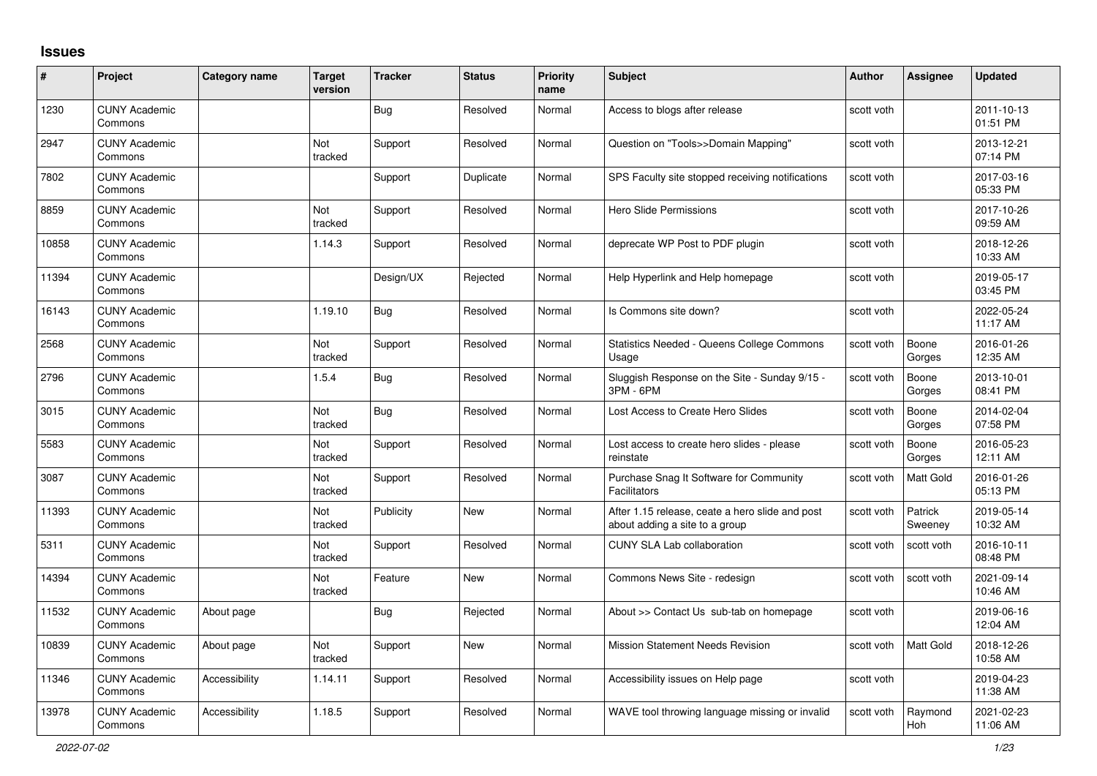## **Issues**

| #     | Project                         | Category name | <b>Target</b><br>version | <b>Tracker</b> | <b>Status</b> | <b>Priority</b><br>name | <b>Subject</b>                                                                    | <b>Author</b> | <b>Assignee</b>    | <b>Updated</b>         |
|-------|---------------------------------|---------------|--------------------------|----------------|---------------|-------------------------|-----------------------------------------------------------------------------------|---------------|--------------------|------------------------|
| 1230  | <b>CUNY Academic</b><br>Commons |               |                          | Bug            | Resolved      | Normal                  | Access to blogs after release                                                     | scott voth    |                    | 2011-10-13<br>01:51 PM |
| 2947  | <b>CUNY Academic</b><br>Commons |               | Not<br>tracked           | Support        | Resolved      | Normal                  | Question on "Tools>>Domain Mapping"                                               | scott voth    |                    | 2013-12-21<br>07:14 PM |
| 7802  | <b>CUNY Academic</b><br>Commons |               |                          | Support        | Duplicate     | Normal                  | SPS Faculty site stopped receiving notifications                                  | scott voth    |                    | 2017-03-16<br>05:33 PM |
| 8859  | <b>CUNY Academic</b><br>Commons |               | Not<br>tracked           | Support        | Resolved      | Normal                  | Hero Slide Permissions                                                            | scott voth    |                    | 2017-10-26<br>09:59 AM |
| 10858 | <b>CUNY Academic</b><br>Commons |               | 1.14.3                   | Support        | Resolved      | Normal                  | deprecate WP Post to PDF plugin                                                   | scott voth    |                    | 2018-12-26<br>10:33 AM |
| 11394 | <b>CUNY Academic</b><br>Commons |               |                          | Design/UX      | Rejected      | Normal                  | Help Hyperlink and Help homepage                                                  | scott voth    |                    | 2019-05-17<br>03:45 PM |
| 16143 | <b>CUNY Academic</b><br>Commons |               | 1.19.10                  | <b>Bug</b>     | Resolved      | Normal                  | Is Commons site down?                                                             | scott voth    |                    | 2022-05-24<br>11:17 AM |
| 2568  | <b>CUNY Academic</b><br>Commons |               | Not<br>tracked           | Support        | Resolved      | Normal                  | <b>Statistics Needed - Queens College Commons</b><br>Usage                        | scott voth    | Boone<br>Gorges    | 2016-01-26<br>12:35 AM |
| 2796  | <b>CUNY Academic</b><br>Commons |               | 1.5.4                    | Bug            | Resolved      | Normal                  | Sluggish Response on the Site - Sunday 9/15 -<br>3PM - 6PM                        | scott voth    | Boone<br>Gorges    | 2013-10-01<br>08:41 PM |
| 3015  | <b>CUNY Academic</b><br>Commons |               | Not<br>tracked           | <b>Bug</b>     | Resolved      | Normal                  | Lost Access to Create Hero Slides                                                 | scott voth    | Boone<br>Gorges    | 2014-02-04<br>07:58 PM |
| 5583  | <b>CUNY Academic</b><br>Commons |               | Not<br>tracked           | Support        | Resolved      | Normal                  | Lost access to create hero slides - please<br>reinstate                           | scott voth    | Boone<br>Gorges    | 2016-05-23<br>12:11 AM |
| 3087  | <b>CUNY Academic</b><br>Commons |               | Not<br>tracked           | Support        | Resolved      | Normal                  | Purchase Snag It Software for Community<br>Facilitators                           | scott voth    | <b>Matt Gold</b>   | 2016-01-26<br>05:13 PM |
| 11393 | <b>CUNY Academic</b><br>Commons |               | <b>Not</b><br>tracked    | Publicity      | <b>New</b>    | Normal                  | After 1.15 release, ceate a hero slide and post<br>about adding a site to a group | scott voth    | Patrick<br>Sweeney | 2019-05-14<br>10:32 AM |
| 5311  | <b>CUNY Academic</b><br>Commons |               | <b>Not</b><br>tracked    | Support        | Resolved      | Normal                  | <b>CUNY SLA Lab collaboration</b>                                                 | scott voth    | scott voth         | 2016-10-11<br>08:48 PM |
| 14394 | <b>CUNY Academic</b><br>Commons |               | Not<br>tracked           | Feature        | <b>New</b>    | Normal                  | Commons News Site - redesign                                                      | scott voth    | scott voth         | 2021-09-14<br>10:46 AM |
| 11532 | <b>CUNY Academic</b><br>Commons | About page    |                          | <b>Bug</b>     | Rejected      | Normal                  | About >> Contact Us sub-tab on homepage                                           | scott voth    |                    | 2019-06-16<br>12:04 AM |
| 10839 | <b>CUNY Academic</b><br>Commons | About page    | Not<br>tracked           | Support        | New           | Normal                  | <b>Mission Statement Needs Revision</b>                                           | scott voth    | <b>Matt Gold</b>   | 2018-12-26<br>10:58 AM |
| 11346 | <b>CUNY Academic</b><br>Commons | Accessibility | 1.14.11                  | Support        | Resolved      | Normal                  | Accessibility issues on Help page                                                 | scott voth    |                    | 2019-04-23<br>11:38 AM |
| 13978 | <b>CUNY Academic</b><br>Commons | Accessibility | 1.18.5                   | Support        | Resolved      | Normal                  | WAVE tool throwing language missing or invalid                                    | scott voth    | Raymond<br>Hoh     | 2021-02-23<br>11:06 AM |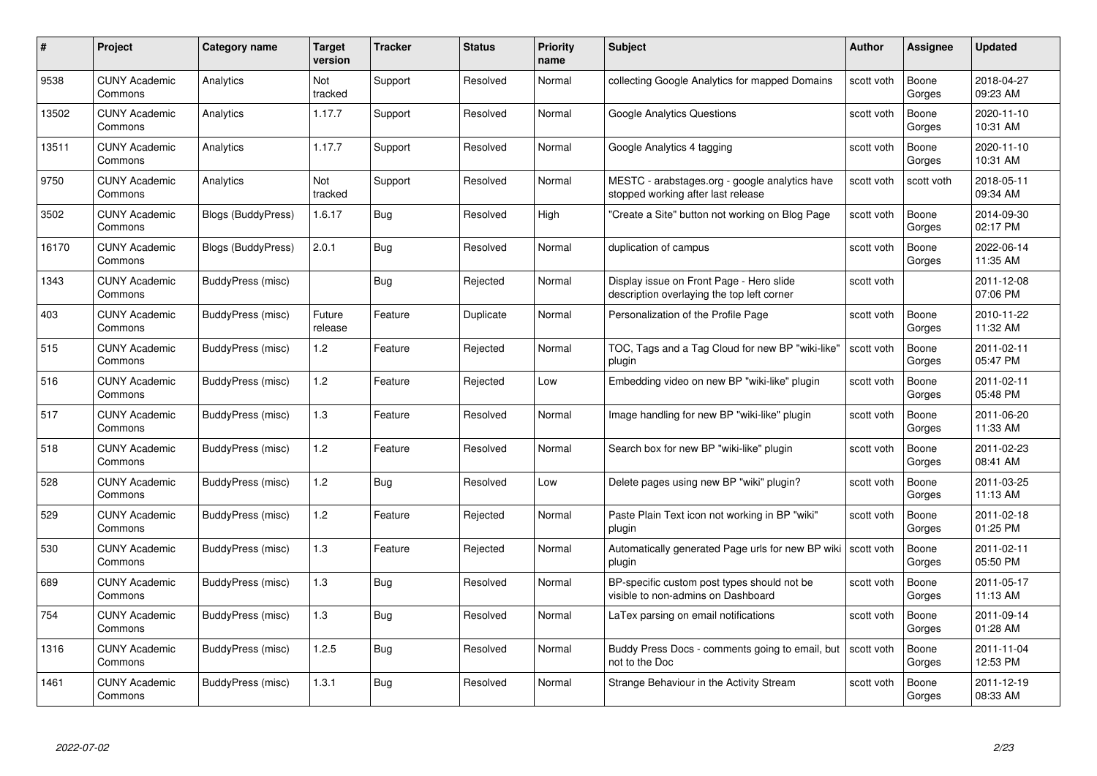| #     | Project                         | <b>Category name</b>      | Target<br>version | <b>Tracker</b> | <b>Status</b> | <b>Priority</b><br>name | <b>Subject</b>                                                                         | <b>Author</b> | <b>Assignee</b> | <b>Updated</b>         |
|-------|---------------------------------|---------------------------|-------------------|----------------|---------------|-------------------------|----------------------------------------------------------------------------------------|---------------|-----------------|------------------------|
| 9538  | <b>CUNY Academic</b><br>Commons | Analytics                 | Not<br>tracked    | Support        | Resolved      | Normal                  | collecting Google Analytics for mapped Domains                                         | scott voth    | Boone<br>Gorges | 2018-04-27<br>09:23 AM |
| 13502 | <b>CUNY Academic</b><br>Commons | Analytics                 | 1.17.7            | Support        | Resolved      | Normal                  | Google Analytics Questions                                                             | scott voth    | Boone<br>Gorges | 2020-11-10<br>10:31 AM |
| 13511 | <b>CUNY Academic</b><br>Commons | Analytics                 | 1.17.7            | Support        | Resolved      | Normal                  | Google Analytics 4 tagging                                                             | scott voth    | Boone<br>Gorges | 2020-11-10<br>10:31 AM |
| 9750  | <b>CUNY Academic</b><br>Commons | Analytics                 | Not<br>tracked    | Support        | Resolved      | Normal                  | MESTC - arabstages.org - google analytics have<br>stopped working after last release   | scott voth    | scott voth      | 2018-05-11<br>09:34 AM |
| 3502  | <b>CUNY Academic</b><br>Commons | <b>Blogs (BuddyPress)</b> | 1.6.17            | <b>Bug</b>     | Resolved      | High                    | "Create a Site" button not working on Blog Page                                        | scott voth    | Boone<br>Gorges | 2014-09-30<br>02:17 PM |
| 16170 | <b>CUNY Academic</b><br>Commons | Blogs (BuddyPress)        | 2.0.1             | <b>Bug</b>     | Resolved      | Normal                  | duplication of campus                                                                  | scott voth    | Boone<br>Gorges | 2022-06-14<br>11:35 AM |
| 1343  | <b>CUNY Academic</b><br>Commons | BuddyPress (misc)         |                   | Bug            | Rejected      | Normal                  | Display issue on Front Page - Hero slide<br>description overlaying the top left corner | scott voth    |                 | 2011-12-08<br>07:06 PM |
| 403   | <b>CUNY Academic</b><br>Commons | BuddyPress (misc)         | Future<br>release | Feature        | Duplicate     | Normal                  | Personalization of the Profile Page                                                    | scott voth    | Boone<br>Gorges | 2010-11-22<br>11:32 AM |
| 515   | <b>CUNY Academic</b><br>Commons | BuddyPress (misc)         | 1.2               | Feature        | Rejected      | Normal                  | TOC, Tags and a Tag Cloud for new BP "wiki-like"<br>plugin                             | scott voth    | Boone<br>Gorges | 2011-02-11<br>05:47 PM |
| 516   | <b>CUNY Academic</b><br>Commons | BuddyPress (misc)         | 1.2               | Feature        | Rejected      | Low                     | Embedding video on new BP "wiki-like" plugin                                           | scott voth    | Boone<br>Gorges | 2011-02-11<br>05:48 PM |
| 517   | <b>CUNY Academic</b><br>Commons | BuddyPress (misc)         | $1.3$             | Feature        | Resolved      | Normal                  | Image handling for new BP "wiki-like" plugin                                           | scott voth    | Boone<br>Gorges | 2011-06-20<br>11:33 AM |
| 518   | <b>CUNY Academic</b><br>Commons | BuddyPress (misc)         | 1.2               | Feature        | Resolved      | Normal                  | Search box for new BP "wiki-like" plugin                                               | scott voth    | Boone<br>Gorges | 2011-02-23<br>08:41 AM |
| 528   | <b>CUNY Academic</b><br>Commons | BuddyPress (misc)         | 1.2               | Bug            | Resolved      | Low                     | Delete pages using new BP "wiki" plugin?                                               | scott voth    | Boone<br>Gorges | 2011-03-25<br>11:13 AM |
| 529   | <b>CUNY Academic</b><br>Commons | BuddyPress (misc)         | 1.2               | Feature        | Rejected      | Normal                  | Paste Plain Text icon not working in BP "wiki"<br>plugin                               | scott voth    | Boone<br>Gorges | 2011-02-18<br>01:25 PM |
| 530   | <b>CUNY Academic</b><br>Commons | BuddyPress (misc)         | $1.3$             | Feature        | Rejected      | Normal                  | Automatically generated Page urls for new BP wiki   scott voth<br>plugin               |               | Boone<br>Gorges | 2011-02-11<br>05:50 PM |
| 689   | <b>CUNY Academic</b><br>Commons | BuddyPress (misc)         | 1.3               | <b>Bug</b>     | Resolved      | Normal                  | BP-specific custom post types should not be<br>visible to non-admins on Dashboard      | scott voth    | Boone<br>Gorges | 2011-05-17<br>11:13 AM |
| 754   | <b>CUNY Academic</b><br>Commons | BuddyPress (misc)         | 1.3               | Bug            | Resolved      | Normal                  | LaTex parsing on email notifications                                                   | scott voth    | Boone<br>Gorges | 2011-09-14<br>01:28 AM |
| 1316  | <b>CUNY Academic</b><br>Commons | BuddyPress (misc)         | 1.2.5             | <b>Bug</b>     | Resolved      | Normal                  | Buddy Press Docs - comments going to email, but<br>not to the Doc                      | scott voth    | Boone<br>Gorges | 2011-11-04<br>12:53 PM |
| 1461  | CUNY Academic<br>Commons        | BuddyPress (misc)         | 1.3.1             | <b>Bug</b>     | Resolved      | Normal                  | Strange Behaviour in the Activity Stream                                               | scott voth    | Boone<br>Gorges | 2011-12-19<br>08:33 AM |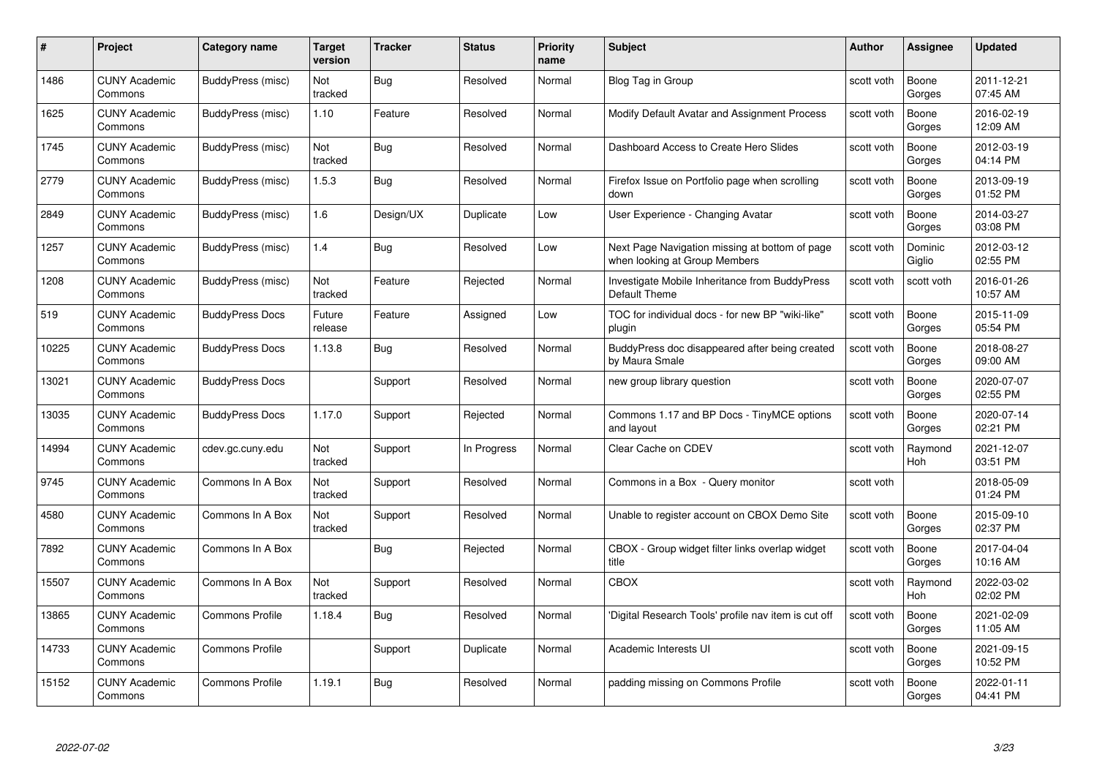| #     | Project                         | <b>Category name</b>   | Target<br>version | <b>Tracker</b> | <b>Status</b> | <b>Priority</b><br>name | <b>Subject</b>                                                                  | <b>Author</b> | <b>Assignee</b>       | <b>Updated</b>         |
|-------|---------------------------------|------------------------|-------------------|----------------|---------------|-------------------------|---------------------------------------------------------------------------------|---------------|-----------------------|------------------------|
| 1486  | <b>CUNY Academic</b><br>Commons | BuddyPress (misc)      | Not<br>tracked    | Bug            | Resolved      | Normal                  | Blog Tag in Group                                                               | scott voth    | Boone<br>Gorges       | 2011-12-21<br>07:45 AM |
| 1625  | <b>CUNY Academic</b><br>Commons | BuddyPress (misc)      | 1.10              | Feature        | Resolved      | Normal                  | Modify Default Avatar and Assignment Process                                    | scott voth    | Boone<br>Gorges       | 2016-02-19<br>12:09 AM |
| 1745  | <b>CUNY Academic</b><br>Commons | BuddyPress (misc)      | Not<br>tracked    | Bug            | Resolved      | Normal                  | Dashboard Access to Create Hero Slides                                          | scott voth    | Boone<br>Gorges       | 2012-03-19<br>04:14 PM |
| 2779  | <b>CUNY Academic</b><br>Commons | BuddyPress (misc)      | 1.5.3             | Bug            | Resolved      | Normal                  | Firefox Issue on Portfolio page when scrolling<br>down                          | scott voth    | Boone<br>Gorges       | 2013-09-19<br>01:52 PM |
| 2849  | <b>CUNY Academic</b><br>Commons | BuddyPress (misc)      | 1.6               | Design/UX      | Duplicate     | Low                     | User Experience - Changing Avatar                                               | scott voth    | Boone<br>Gorges       | 2014-03-27<br>03:08 PM |
| 1257  | <b>CUNY Academic</b><br>Commons | BuddyPress (misc)      | 1.4               | Bug            | Resolved      | Low                     | Next Page Navigation missing at bottom of page<br>when looking at Group Members | scott voth    | Dominic<br>Giglio     | 2012-03-12<br>02:55 PM |
| 1208  | <b>CUNY Academic</b><br>Commons | BuddyPress (misc)      | Not<br>tracked    | Feature        | Rejected      | Normal                  | Investigate Mobile Inheritance from BuddyPress<br>Default Theme                 | scott voth    | scott voth            | 2016-01-26<br>10:57 AM |
| 519   | <b>CUNY Academic</b><br>Commons | <b>BuddyPress Docs</b> | Future<br>release | Feature        | Assigned      | Low                     | TOC for individual docs - for new BP "wiki-like"<br>plugin                      | scott voth    | Boone<br>Gorges       | 2015-11-09<br>05:54 PM |
| 10225 | <b>CUNY Academic</b><br>Commons | <b>BuddyPress Docs</b> | 1.13.8            | Bug            | Resolved      | Normal                  | BuddyPress doc disappeared after being created<br>by Maura Smale                | scott voth    | Boone<br>Gorges       | 2018-08-27<br>09:00 AM |
| 13021 | <b>CUNY Academic</b><br>Commons | <b>BuddyPress Docs</b> |                   | Support        | Resolved      | Normal                  | new group library question                                                      | scott voth    | Boone<br>Gorges       | 2020-07-07<br>02:55 PM |
| 13035 | CUNY Academic<br>Commons        | <b>BuddyPress Docs</b> | 1.17.0            | Support        | Rejected      | Normal                  | Commons 1.17 and BP Docs - TinyMCE options<br>and layout                        | scott voth    | Boone<br>Gorges       | 2020-07-14<br>02:21 PM |
| 14994 | <b>CUNY Academic</b><br>Commons | cdev.gc.cuny.edu       | Not<br>tracked    | Support        | In Progress   | Normal                  | Clear Cache on CDEV                                                             | scott voth    | Raymond<br>Hoh        | 2021-12-07<br>03:51 PM |
| 9745  | <b>CUNY Academic</b><br>Commons | Commons In A Box       | Not<br>tracked    | Support        | Resolved      | Normal                  | Commons in a Box - Query monitor                                                | scott voth    |                       | 2018-05-09<br>01:24 PM |
| 4580  | <b>CUNY Academic</b><br>Commons | Commons In A Box       | Not<br>tracked    | Support        | Resolved      | Normal                  | Unable to register account on CBOX Demo Site                                    | scott voth    | Boone<br>Gorges       | 2015-09-10<br>02:37 PM |
| 7892  | <b>CUNY Academic</b><br>Commons | Commons In A Box       |                   | Bug            | Rejected      | Normal                  | CBOX - Group widget filter links overlap widget<br>title                        | scott voth    | Boone<br>Gorges       | 2017-04-04<br>10:16 AM |
| 15507 | <b>CUNY Academic</b><br>Commons | Commons In A Box       | Not<br>tracked    | Support        | Resolved      | Normal                  | <b>CBOX</b>                                                                     | scott voth    | Raymond<br><b>Hoh</b> | 2022-03-02<br>02:02 PM |
| 13865 | <b>CUNY Academic</b><br>Commons | <b>Commons Profile</b> | 1.18.4            | Bug            | Resolved      | Normal                  | 'Digital Research Tools' profile nav item is cut off                            | scott voth    | Boone<br>Gorges       | 2021-02-09<br>11:05 AM |
| 14733 | <b>CUNY Academic</b><br>Commons | <b>Commons Profile</b> |                   | Support        | Duplicate     | Normal                  | Academic Interests UI                                                           | scott voth    | Boone<br>Gorges       | 2021-09-15<br>10:52 PM |
| 15152 | <b>CUNY Academic</b><br>Commons | <b>Commons Profile</b> | 1.19.1            | Bug            | Resolved      | Normal                  | padding missing on Commons Profile                                              | scott voth    | Boone<br>Gorges       | 2022-01-11<br>04:41 PM |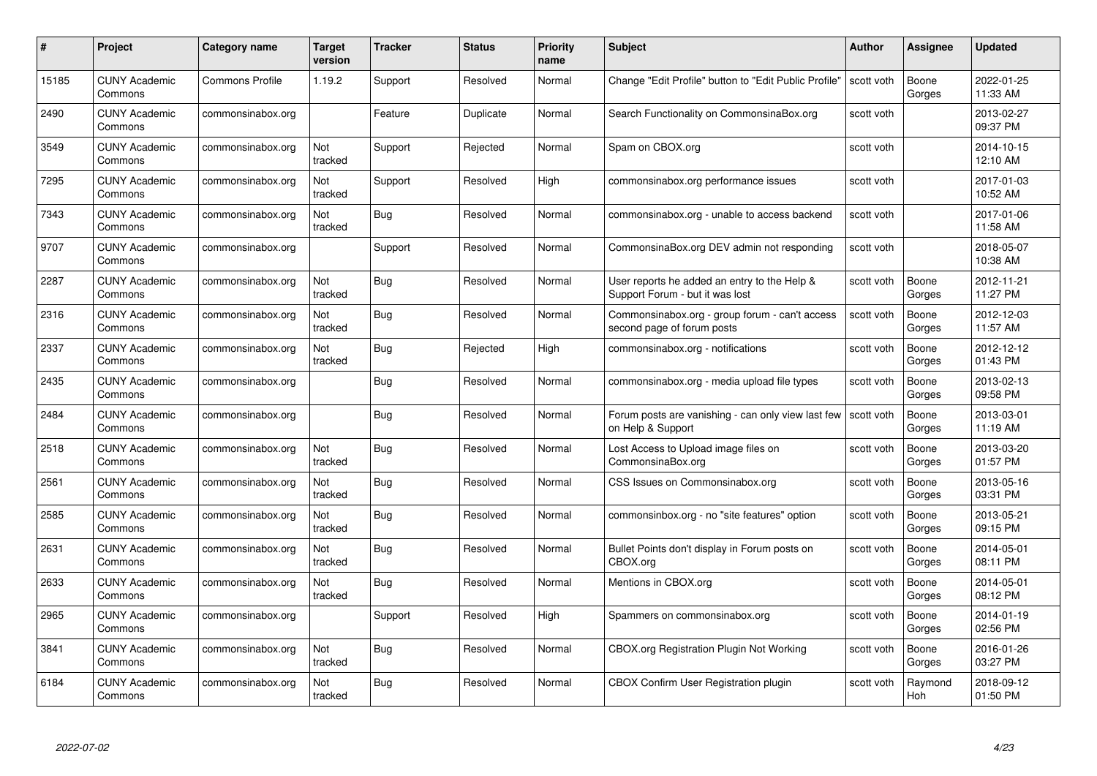| #     | Project                         | <b>Category name</b>   | Target<br>version | <b>Tracker</b> | <b>Status</b> | <b>Priority</b><br>name | <b>Subject</b>                                                                  | <b>Author</b> | <b>Assignee</b> | <b>Updated</b>         |
|-------|---------------------------------|------------------------|-------------------|----------------|---------------|-------------------------|---------------------------------------------------------------------------------|---------------|-----------------|------------------------|
| 15185 | <b>CUNY Academic</b><br>Commons | <b>Commons Profile</b> | 1.19.2            | Support        | Resolved      | Normal                  | Change "Edit Profile" button to "Edit Public Profile"                           | scott voth    | Boone<br>Gorges | 2022-01-25<br>11:33 AM |
| 2490  | <b>CUNY Academic</b><br>Commons | commonsinabox.org      |                   | Feature        | Duplicate     | Normal                  | Search Functionality on CommonsinaBox.org                                       | scott voth    |                 | 2013-02-27<br>09:37 PM |
| 3549  | <b>CUNY Academic</b><br>Commons | commonsinabox.org      | Not<br>tracked    | Support        | Rejected      | Normal                  | Spam on CBOX.org                                                                | scott voth    |                 | 2014-10-15<br>12:10 AM |
| 7295  | <b>CUNY Academic</b><br>Commons | commonsinabox.org      | Not<br>tracked    | Support        | Resolved      | High                    | commonsinabox.org performance issues                                            | scott voth    |                 | 2017-01-03<br>10:52 AM |
| 7343  | <b>CUNY Academic</b><br>Commons | commonsinabox.org      | Not<br>tracked    | Bug            | Resolved      | Normal                  | commonsinabox.org - unable to access backend                                    | scott voth    |                 | 2017-01-06<br>11:58 AM |
| 9707  | <b>CUNY Academic</b><br>Commons | commonsinabox.org      |                   | Support        | Resolved      | Normal                  | CommonsinaBox.org DEV admin not responding                                      | scott voth    |                 | 2018-05-07<br>10:38 AM |
| 2287  | <b>CUNY Academic</b><br>Commons | commonsinabox.org      | Not<br>tracked    | Bug            | Resolved      | Normal                  | User reports he added an entry to the Help &<br>Support Forum - but it was lost | scott voth    | Boone<br>Gorges | 2012-11-21<br>11:27 PM |
| 2316  | <b>CUNY Academic</b><br>Commons | commonsinabox.org      | Not<br>tracked    | Bug            | Resolved      | Normal                  | Commonsinabox.org - group forum - can't access<br>second page of forum posts    | scott voth    | Boone<br>Gorges | 2012-12-03<br>11:57 AM |
| 2337  | <b>CUNY Academic</b><br>Commons | commonsinabox.org      | Not<br>tracked    | Bug            | Rejected      | High                    | commonsinabox.org - notifications                                               | scott voth    | Boone<br>Gorges | 2012-12-12<br>01:43 PM |
| 2435  | <b>CUNY Academic</b><br>Commons | commonsinabox.org      |                   | Bug            | Resolved      | Normal                  | commonsinabox.org - media upload file types                                     | scott voth    | Boone<br>Gorges | 2013-02-13<br>09:58 PM |
| 2484  | CUNY Academic<br>Commons        | commonsinabox.org      |                   | Bug            | Resolved      | Normal                  | Forum posts are vanishing - can only view last few<br>on Help & Support         | scott voth    | Boone<br>Gorges | 2013-03-01<br>11:19 AM |
| 2518  | <b>CUNY Academic</b><br>Commons | commonsinabox.org      | Not<br>tracked    | <b>Bug</b>     | Resolved      | Normal                  | Lost Access to Upload image files on<br>CommonsinaBox.org                       | scott voth    | Boone<br>Gorges | 2013-03-20<br>01:57 PM |
| 2561  | <b>CUNY Academic</b><br>Commons | commonsinabox.org      | Not<br>tracked    | Bug            | Resolved      | Normal                  | CSS Issues on Commonsinabox.org                                                 | scott voth    | Boone<br>Gorges | 2013-05-16<br>03:31 PM |
| 2585  | <b>CUNY Academic</b><br>Commons | commonsinabox.org      | Not<br>tracked    | <b>Bug</b>     | Resolved      | Normal                  | commonsinbox.org - no "site features" option                                    | scott voth    | Boone<br>Gorges | 2013-05-21<br>09:15 PM |
| 2631  | <b>CUNY Academic</b><br>Commons | commonsinabox.org      | Not<br>tracked    | Bug            | Resolved      | Normal                  | Bullet Points don't display in Forum posts on<br>CBOX.org                       | scott voth    | Boone<br>Gorges | 2014-05-01<br>08:11 PM |
| 2633  | <b>CUNY Academic</b><br>Commons | commonsinabox.org      | Not<br>tracked    | Bug            | Resolved      | Normal                  | Mentions in CBOX.org                                                            | scott voth    | Boone<br>Gorges | 2014-05-01<br>08:12 PM |
| 2965  | <b>CUNY Academic</b><br>Commons | commonsinabox.org      |                   | Support        | Resolved      | High                    | Spammers on commonsinabox.org                                                   | scott voth    | Boone<br>Gorges | 2014-01-19<br>02:56 PM |
| 3841  | <b>CUNY Academic</b><br>Commons | commonsinabox.org      | Not<br>tracked    | Bug            | Resolved      | Normal                  | <b>CBOX.org Registration Plugin Not Working</b>                                 | scott voth    | Boone<br>Gorges | 2016-01-26<br>03:27 PM |
| 6184  | CUNY Academic<br>Commons        | commonsinabox.org      | Not<br>tracked    | Bug            | Resolved      | Normal                  | CBOX Confirm User Registration plugin                                           | scott voth    | Raymond<br>Hoh  | 2018-09-12<br>01:50 PM |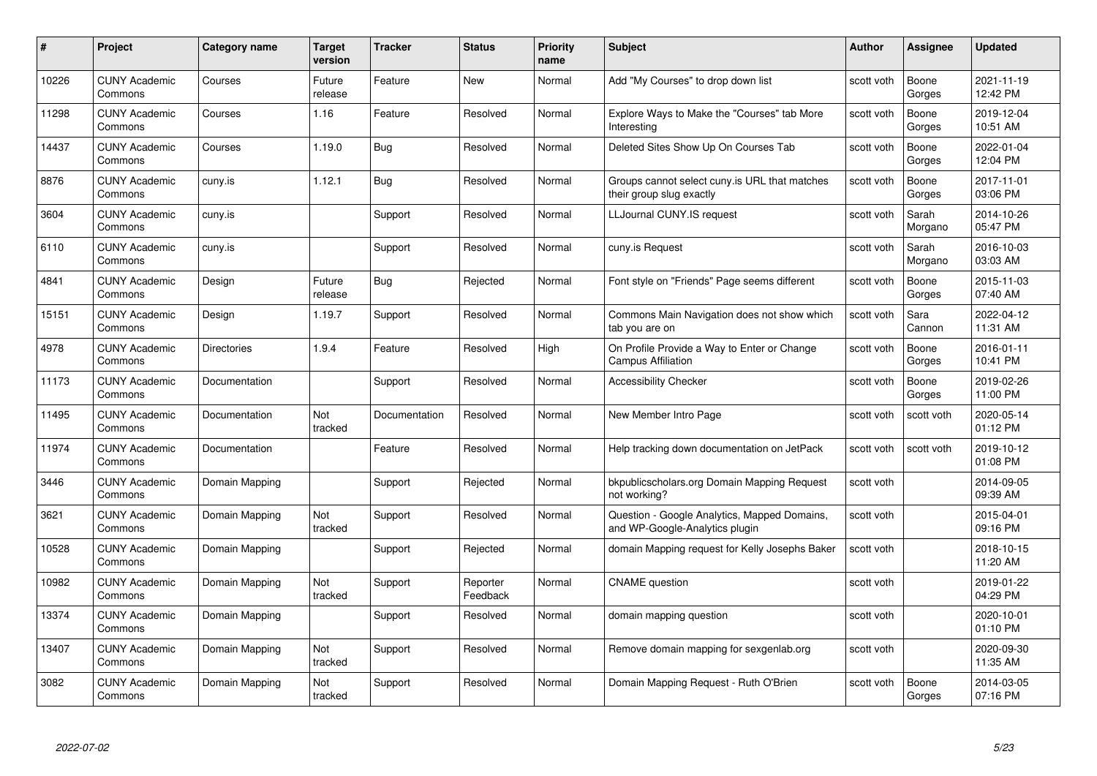| #     | Project                         | Category name      | <b>Target</b><br>version | <b>Tracker</b> | <b>Status</b>        | <b>Priority</b><br>name | <b>Subject</b>                                                                 | <b>Author</b> | Assignee         | <b>Updated</b>         |
|-------|---------------------------------|--------------------|--------------------------|----------------|----------------------|-------------------------|--------------------------------------------------------------------------------|---------------|------------------|------------------------|
| 10226 | <b>CUNY Academic</b><br>Commons | Courses            | Future<br>release        | Feature        | <b>New</b>           | Normal                  | Add "My Courses" to drop down list                                             | scott voth    | Boone<br>Gorges  | 2021-11-19<br>12:42 PM |
| 11298 | <b>CUNY Academic</b><br>Commons | Courses            | 1.16                     | Feature        | Resolved             | Normal                  | Explore Ways to Make the "Courses" tab More<br>Interesting                     | scott voth    | Boone<br>Gorges  | 2019-12-04<br>10:51 AM |
| 14437 | <b>CUNY Academic</b><br>Commons | Courses            | 1.19.0                   | Bug            | Resolved             | Normal                  | Deleted Sites Show Up On Courses Tab                                           | scott voth    | Boone<br>Gorges  | 2022-01-04<br>12:04 PM |
| 8876  | <b>CUNY Academic</b><br>Commons | cuny.is            | 1.12.1                   | Bug            | Resolved             | Normal                  | Groups cannot select cuny is URL that matches<br>their group slug exactly      | scott voth    | Boone<br>Gorges  | 2017-11-01<br>03:06 PM |
| 3604  | <b>CUNY Academic</b><br>Commons | cuny.is            |                          | Support        | Resolved             | Normal                  | LLJournal CUNY.IS request                                                      | scott voth    | Sarah<br>Morgano | 2014-10-26<br>05:47 PM |
| 6110  | <b>CUNY Academic</b><br>Commons | cuny.is            |                          | Support        | Resolved             | Normal                  | cuny.is Request                                                                | scott voth    | Sarah<br>Morgano | 2016-10-03<br>03:03 AM |
| 4841  | <b>CUNY Academic</b><br>Commons | Design             | Future<br>release        | <b>Bug</b>     | Rejected             | Normal                  | Font style on "Friends" Page seems different                                   | scott voth    | Boone<br>Gorges  | 2015-11-03<br>07:40 AM |
| 15151 | <b>CUNY Academic</b><br>Commons | Design             | 1.19.7                   | Support        | Resolved             | Normal                  | Commons Main Navigation does not show which<br>tab you are on                  | scott voth    | Sara<br>Cannon   | 2022-04-12<br>11:31 AM |
| 4978  | <b>CUNY Academic</b><br>Commons | <b>Directories</b> | 1.9.4                    | Feature        | Resolved             | High                    | On Profile Provide a Way to Enter or Change<br><b>Campus Affiliation</b>       | scott voth    | Boone<br>Gorges  | 2016-01-11<br>10:41 PM |
| 11173 | <b>CUNY Academic</b><br>Commons | Documentation      |                          | Support        | Resolved             | Normal                  | <b>Accessibility Checker</b>                                                   | scott voth    | Boone<br>Gorges  | 2019-02-26<br>11:00 PM |
| 11495 | <b>CUNY Academic</b><br>Commons | Documentation      | Not<br>tracked           | Documentation  | Resolved             | Normal                  | New Member Intro Page                                                          | scott voth    | scott voth       | 2020-05-14<br>01:12 PM |
| 11974 | <b>CUNY Academic</b><br>Commons | Documentation      |                          | Feature        | Resolved             | Normal                  | Help tracking down documentation on JetPack                                    | scott voth    | scott voth       | 2019-10-12<br>01:08 PM |
| 3446  | <b>CUNY Academic</b><br>Commons | Domain Mapping     |                          | Support        | Rejected             | Normal                  | bkpublicscholars.org Domain Mapping Request<br>not working?                    | scott voth    |                  | 2014-09-05<br>09:39 AM |
| 3621  | <b>CUNY Academic</b><br>Commons | Domain Mapping     | Not<br>tracked           | Support        | Resolved             | Normal                  | Question - Google Analytics, Mapped Domains,<br>and WP-Google-Analytics plugin | scott voth    |                  | 2015-04-01<br>09:16 PM |
| 10528 | <b>CUNY Academic</b><br>Commons | Domain Mapping     |                          | Support        | Rejected             | Normal                  | domain Mapping request for Kelly Josephs Baker                                 | scott voth    |                  | 2018-10-15<br>11:20 AM |
| 10982 | <b>CUNY Academic</b><br>Commons | Domain Mapping     | Not<br>tracked           | Support        | Reporter<br>Feedback | Normal                  | <b>CNAME</b> question                                                          | scott voth    |                  | 2019-01-22<br>04:29 PM |
| 13374 | <b>CUNY Academic</b><br>Commons | Domain Mapping     |                          | Support        | Resolved             | Normal                  | domain mapping question                                                        | scott voth    |                  | 2020-10-01<br>01:10 PM |
| 13407 | <b>CUNY Academic</b><br>Commons | Domain Mapping     | Not<br>tracked           | Support        | Resolved             | Normal                  | Remove domain mapping for sexgenlab.org                                        | scott voth    |                  | 2020-09-30<br>11:35 AM |
| 3082  | <b>CUNY Academic</b><br>Commons | Domain Mapping     | Not<br>tracked           | Support        | Resolved             | Normal                  | Domain Mapping Request - Ruth O'Brien                                          | scott voth    | Boone<br>Gorges  | 2014-03-05<br>07:16 PM |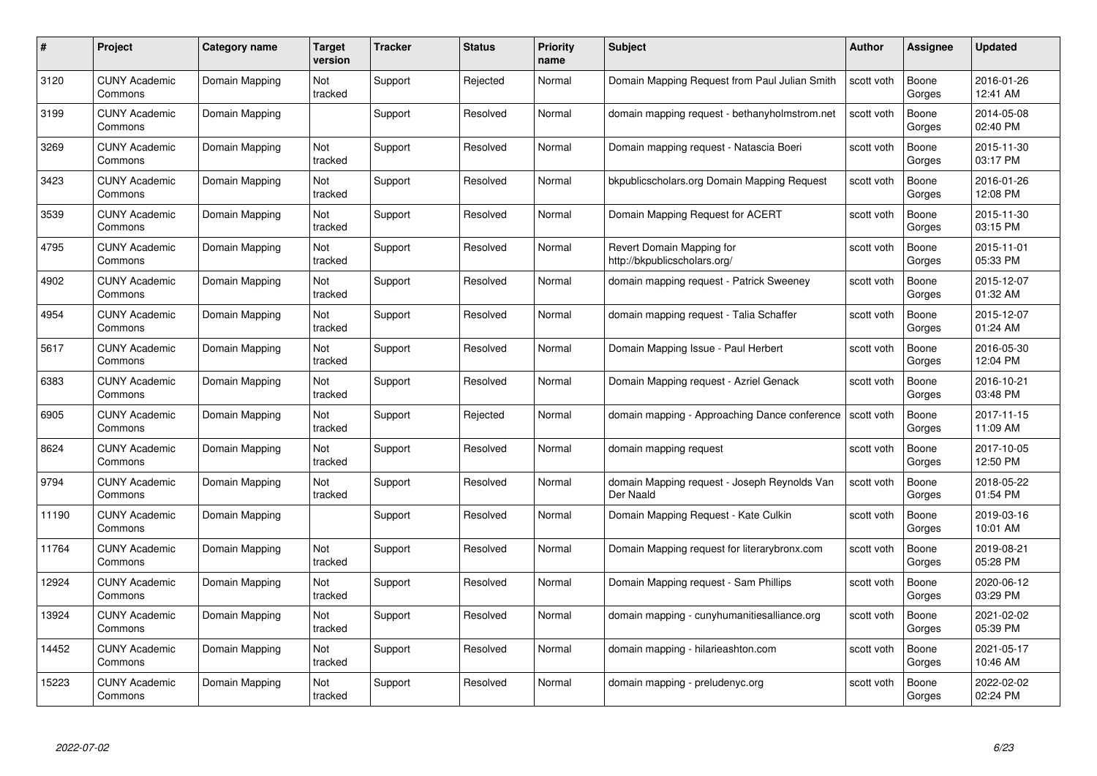| #     | Project                         | <b>Category name</b> | Target<br>version | <b>Tracker</b> | <b>Status</b> | <b>Priority</b><br>name | <b>Subject</b>                                            | <b>Author</b> | <b>Assignee</b> | <b>Updated</b>         |
|-------|---------------------------------|----------------------|-------------------|----------------|---------------|-------------------------|-----------------------------------------------------------|---------------|-----------------|------------------------|
| 3120  | <b>CUNY Academic</b><br>Commons | Domain Mapping       | Not<br>tracked    | Support        | Rejected      | Normal                  | Domain Mapping Request from Paul Julian Smith             | scott voth    | Boone<br>Gorges | 2016-01-26<br>12:41 AM |
| 3199  | <b>CUNY Academic</b><br>Commons | Domain Mapping       |                   | Support        | Resolved      | Normal                  | domain mapping request - bethanyholmstrom.net             | scott voth    | Boone<br>Gorges | 2014-05-08<br>02:40 PM |
| 3269  | <b>CUNY Academic</b><br>Commons | Domain Mapping       | Not<br>tracked    | Support        | Resolved      | Normal                  | Domain mapping request - Natascia Boeri                   | scott voth    | Boone<br>Gorges | 2015-11-30<br>03:17 PM |
| 3423  | <b>CUNY Academic</b><br>Commons | Domain Mapping       | Not<br>tracked    | Support        | Resolved      | Normal                  | bkpublicscholars.org Domain Mapping Request               | scott voth    | Boone<br>Gorges | 2016-01-26<br>12:08 PM |
| 3539  | CUNY Academic<br>Commons        | Domain Mapping       | Not<br>tracked    | Support        | Resolved      | Normal                  | Domain Mapping Request for ACERT                          | scott voth    | Boone<br>Gorges | 2015-11-30<br>03:15 PM |
| 4795  | <b>CUNY Academic</b><br>Commons | Domain Mapping       | Not<br>tracked    | Support        | Resolved      | Normal                  | Revert Domain Mapping for<br>http://bkpublicscholars.org/ | scott voth    | Boone<br>Gorges | 2015-11-01<br>05:33 PM |
| 4902  | <b>CUNY Academic</b><br>Commons | Domain Mapping       | Not<br>tracked    | Support        | Resolved      | Normal                  | domain mapping reguest - Patrick Sweeney                  | scott voth    | Boone<br>Gorges | 2015-12-07<br>01:32 AM |
| 4954  | <b>CUNY Academic</b><br>Commons | Domain Mapping       | Not<br>tracked    | Support        | Resolved      | Normal                  | domain mapping request - Talia Schaffer                   | scott voth    | Boone<br>Gorges | 2015-12-07<br>01:24 AM |
| 5617  | <b>CUNY Academic</b><br>Commons | Domain Mapping       | Not<br>tracked    | Support        | Resolved      | Normal                  | Domain Mapping Issue - Paul Herbert                       | scott voth    | Boone<br>Gorges | 2016-05-30<br>12:04 PM |
| 6383  | <b>CUNY Academic</b><br>Commons | Domain Mapping       | Not<br>tracked    | Support        | Resolved      | Normal                  | Domain Mapping request - Azriel Genack                    | scott voth    | Boone<br>Gorges | 2016-10-21<br>03:48 PM |
| 6905  | CUNY Academic<br>Commons        | Domain Mapping       | Not<br>tracked    | Support        | Rejected      | Normal                  | domain mapping - Approaching Dance conference             | scott voth    | Boone<br>Gorges | 2017-11-15<br>11:09 AM |
| 8624  | <b>CUNY Academic</b><br>Commons | Domain Mapping       | Not<br>tracked    | Support        | Resolved      | Normal                  | domain mapping request                                    | scott voth    | Boone<br>Gorges | 2017-10-05<br>12:50 PM |
| 9794  | <b>CUNY Academic</b><br>Commons | Domain Mapping       | Not<br>tracked    | Support        | Resolved      | Normal                  | domain Mapping request - Joseph Reynolds Van<br>Der Naald | scott voth    | Boone<br>Gorges | 2018-05-22<br>01:54 PM |
| 11190 | <b>CUNY Academic</b><br>Commons | Domain Mapping       |                   | Support        | Resolved      | Normal                  | Domain Mapping Request - Kate Culkin                      | scott voth    | Boone<br>Gorges | 2019-03-16<br>10:01 AM |
| 11764 | <b>CUNY Academic</b><br>Commons | Domain Mapping       | Not<br>tracked    | Support        | Resolved      | Normal                  | Domain Mapping request for literarybronx.com              | scott voth    | Boone<br>Gorges | 2019-08-21<br>05:28 PM |
| 12924 | <b>CUNY Academic</b><br>Commons | Domain Mapping       | Not<br>tracked    | Support        | Resolved      | Normal                  | Domain Mapping request - Sam Phillips                     | scott voth    | Boone<br>Gorges | 2020-06-12<br>03:29 PM |
| 13924 | <b>CUNY Academic</b><br>Commons | Domain Mapping       | Not<br>tracked    | Support        | Resolved      | Normal                  | domain mapping - cunyhumanitiesalliance.org               | scott voth    | Boone<br>Gorges | 2021-02-02<br>05:39 PM |
| 14452 | <b>CUNY Academic</b><br>Commons | Domain Mapping       | Not<br>tracked    | Support        | Resolved      | Normal                  | domain mapping - hilarieashton.com                        | scott voth    | Boone<br>Gorges | 2021-05-17<br>10:46 AM |
| 15223 | CUNY Academic<br>Commons        | Domain Mapping       | Not<br>tracked    | Support        | Resolved      | Normal                  | domain mapping - preludenyc.org                           | scott voth    | Boone<br>Gorges | 2022-02-02<br>02:24 PM |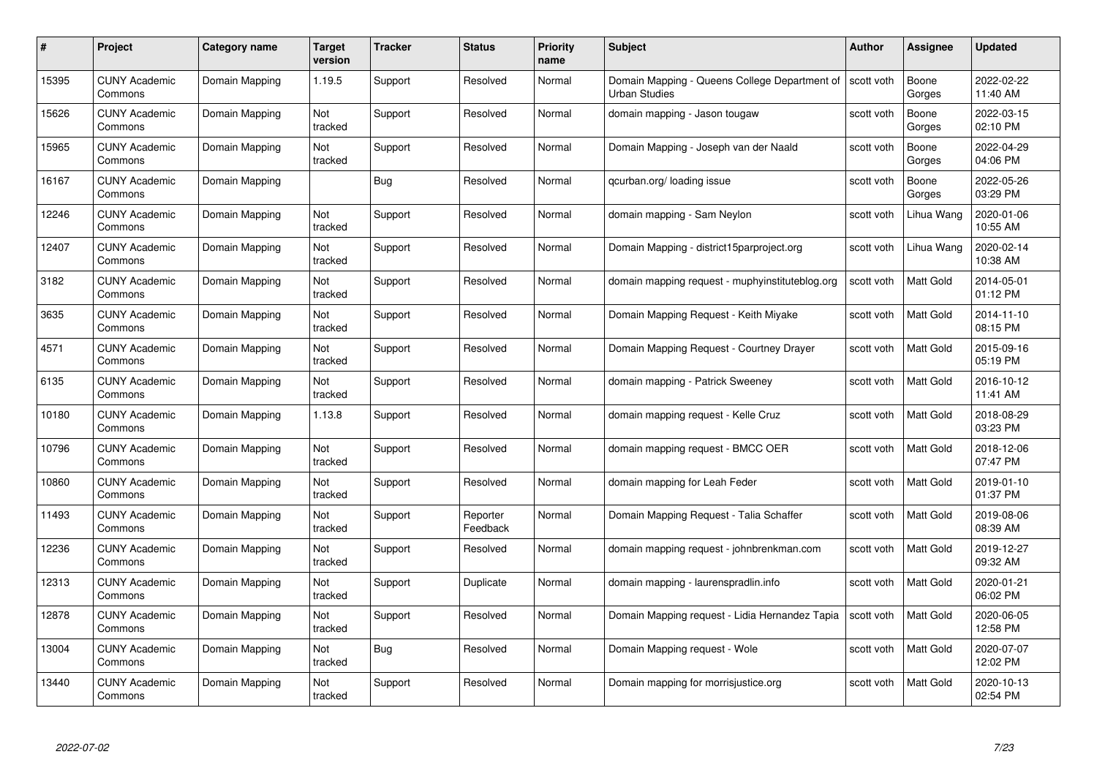| #     | Project                         | <b>Category name</b> | <b>Target</b><br>version | <b>Tracker</b> | <b>Status</b>        | <b>Priority</b><br>name | <b>Subject</b>                                                                     | <b>Author</b> | <b>Assignee</b>  | <b>Updated</b>         |
|-------|---------------------------------|----------------------|--------------------------|----------------|----------------------|-------------------------|------------------------------------------------------------------------------------|---------------|------------------|------------------------|
| 15395 | <b>CUNY Academic</b><br>Commons | Domain Mapping       | 1.19.5                   | Support        | Resolved             | Normal                  | Domain Mapping - Queens College Department of   scott voth<br><b>Urban Studies</b> |               | Boone<br>Gorges  | 2022-02-22<br>11:40 AM |
| 15626 | <b>CUNY Academic</b><br>Commons | Domain Mapping       | Not<br>tracked           | Support        | Resolved             | Normal                  | domain mapping - Jason tougaw                                                      | scott voth    | Boone<br>Gorges  | 2022-03-15<br>02:10 PM |
| 15965 | <b>CUNY Academic</b><br>Commons | Domain Mapping       | Not<br>tracked           | Support        | Resolved             | Normal                  | Domain Mapping - Joseph van der Naald                                              | scott voth    | Boone<br>Gorges  | 2022-04-29<br>04:06 PM |
| 16167 | <b>CUNY Academic</b><br>Commons | Domain Mapping       |                          | <b>Bug</b>     | Resolved             | Normal                  | qcurban.org/loading issue                                                          | scott voth    | Boone<br>Gorges  | 2022-05-26<br>03:29 PM |
| 12246 | <b>CUNY Academic</b><br>Commons | Domain Mapping       | Not<br>tracked           | Support        | Resolved             | Normal                  | domain mapping - Sam Neylon                                                        | scott voth    | Lihua Wang       | 2020-01-06<br>10:55 AM |
| 12407 | <b>CUNY Academic</b><br>Commons | Domain Mapping       | Not<br>tracked           | Support        | Resolved             | Normal                  | Domain Mapping - district15parproject.org                                          | scott voth    | Lihua Wang       | 2020-02-14<br>10:38 AM |
| 3182  | <b>CUNY Academic</b><br>Commons | Domain Mapping       | Not<br>tracked           | Support        | Resolved             | Normal                  | domain mapping request - muphyinstituteblog.org                                    | scott voth    | Matt Gold        | 2014-05-01<br>01:12 PM |
| 3635  | <b>CUNY Academic</b><br>Commons | Domain Mapping       | Not<br>tracked           | Support        | Resolved             | Normal                  | Domain Mapping Request - Keith Miyake                                              | scott voth    | Matt Gold        | 2014-11-10<br>08:15 PM |
| 4571  | <b>CUNY Academic</b><br>Commons | Domain Mapping       | Not<br>tracked           | Support        | Resolved             | Normal                  | Domain Mapping Request - Courtney Drayer                                           | scott voth    | <b>Matt Gold</b> | 2015-09-16<br>05:19 PM |
| 6135  | <b>CUNY Academic</b><br>Commons | Domain Mapping       | Not<br>tracked           | Support        | Resolved             | Normal                  | domain mapping - Patrick Sweeney                                                   | scott voth    | Matt Gold        | 2016-10-12<br>11:41 AM |
| 10180 | <b>CUNY Academic</b><br>Commons | Domain Mapping       | 1.13.8                   | Support        | Resolved             | Normal                  | domain mapping request - Kelle Cruz                                                | scott voth    | Matt Gold        | 2018-08-29<br>03:23 PM |
| 10796 | <b>CUNY Academic</b><br>Commons | Domain Mapping       | Not<br>tracked           | Support        | Resolved             | Normal                  | domain mapping request - BMCC OER                                                  | scott voth    | Matt Gold        | 2018-12-06<br>07:47 PM |
| 10860 | <b>CUNY Academic</b><br>Commons | Domain Mapping       | Not<br>tracked           | Support        | Resolved             | Normal                  | domain mapping for Leah Feder                                                      | scott voth    | <b>Matt Gold</b> | 2019-01-10<br>01:37 PM |
| 11493 | <b>CUNY Academic</b><br>Commons | Domain Mapping       | Not<br>tracked           | Support        | Reporter<br>Feedback | Normal                  | Domain Mapping Request - Talia Schaffer                                            | scott voth    | Matt Gold        | 2019-08-06<br>08:39 AM |
| 12236 | <b>CUNY Academic</b><br>Commons | Domain Mapping       | Not<br>tracked           | Support        | Resolved             | Normal                  | domain mapping request - johnbrenkman.com                                          | scott voth    | Matt Gold        | 2019-12-27<br>09:32 AM |
| 12313 | <b>CUNY Academic</b><br>Commons | Domain Mapping       | Not<br>tracked           | Support        | Duplicate            | Normal                  | domain mapping - laurenspradlin.info                                               | scott voth    | Matt Gold        | 2020-01-21<br>06:02 PM |
| 12878 | <b>CUNY Academic</b><br>Commons | Domain Mapping       | Not<br>tracked           | Support        | Resolved             | Normal                  | Domain Mapping request - Lidia Hernandez Tapia                                     | scott voth    | Matt Gold        | 2020-06-05<br>12:58 PM |
| 13004 | <b>CUNY Academic</b><br>Commons | Domain Mapping       | Not<br>tracked           | Bug            | Resolved             | Normal                  | Domain Mapping request - Wole                                                      | scott voth    | Matt Gold        | 2020-07-07<br>12:02 PM |
| 13440 | CUNY Academic<br>Commons        | Domain Mapping       | Not<br>tracked           | Support        | Resolved             | Normal                  | Domain mapping for morrisjustice.org                                               | scott voth    | Matt Gold        | 2020-10-13<br>02:54 PM |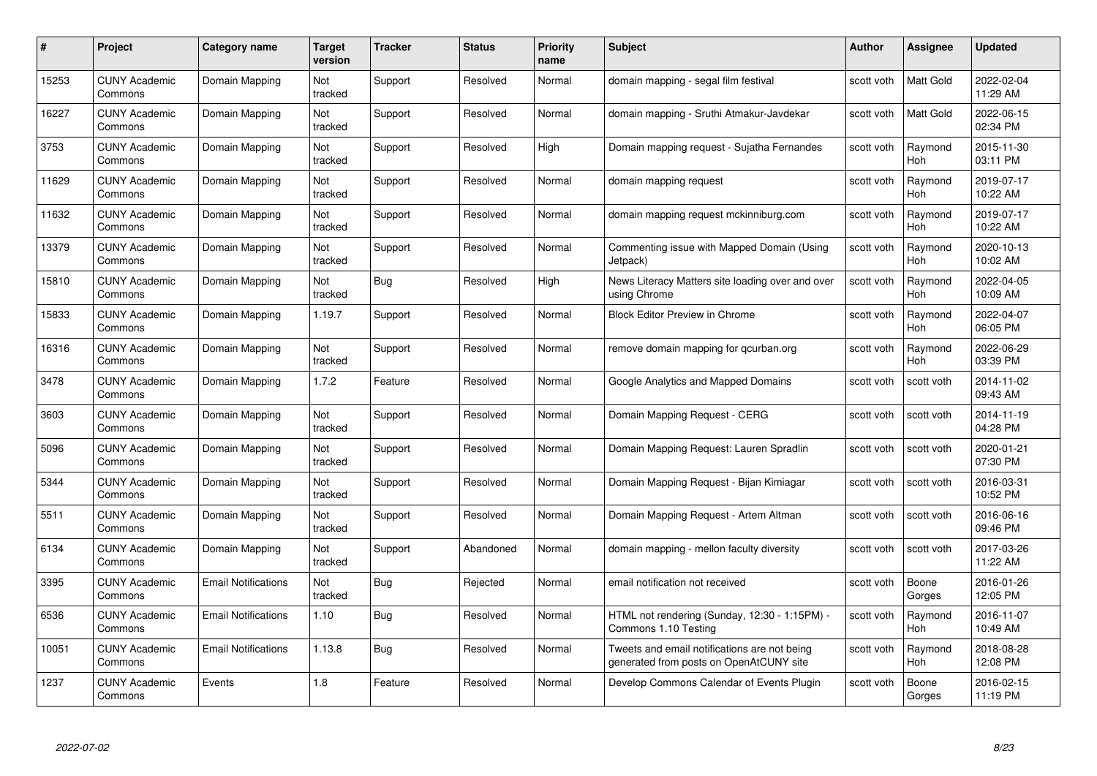| #     | Project                         | Category name              | Target<br>version | <b>Tracker</b> | <b>Status</b> | <b>Priority</b><br>name | <b>Subject</b>                                                                          | <b>Author</b> | <b>Assignee</b>       | <b>Updated</b>         |
|-------|---------------------------------|----------------------------|-------------------|----------------|---------------|-------------------------|-----------------------------------------------------------------------------------------|---------------|-----------------------|------------------------|
| 15253 | <b>CUNY Academic</b><br>Commons | Domain Mapping             | Not<br>tracked    | Support        | Resolved      | Normal                  | domain mapping - segal film festival                                                    | scott voth    | <b>Matt Gold</b>      | 2022-02-04<br>11:29 AM |
| 16227 | <b>CUNY Academic</b><br>Commons | Domain Mapping             | Not<br>tracked    | Support        | Resolved      | Normal                  | domain mapping - Sruthi Atmakur-Javdekar                                                | scott voth    | Matt Gold             | 2022-06-15<br>02:34 PM |
| 3753  | <b>CUNY Academic</b><br>Commons | Domain Mapping             | Not<br>tracked    | Support        | Resolved      | High                    | Domain mapping request - Sujatha Fernandes                                              | scott voth    | Raymond<br>Hoh        | 2015-11-30<br>03:11 PM |
| 11629 | <b>CUNY Academic</b><br>Commons | Domain Mapping             | Not<br>tracked    | Support        | Resolved      | Normal                  | domain mapping request                                                                  | scott voth    | Raymond<br><b>Hoh</b> | 2019-07-17<br>10:22 AM |
| 11632 | <b>CUNY Academic</b><br>Commons | Domain Mapping             | Not<br>tracked    | Support        | Resolved      | Normal                  | domain mapping request mckinniburg.com                                                  | scott voth    | Raymond<br>Hoh        | 2019-07-17<br>10:22 AM |
| 13379 | <b>CUNY Academic</b><br>Commons | Domain Mapping             | Not<br>tracked    | Support        | Resolved      | Normal                  | Commenting issue with Mapped Domain (Using<br>Jetpack)                                  | scott voth    | Raymond<br>Hoh        | 2020-10-13<br>10:02 AM |
| 15810 | <b>CUNY Academic</b><br>Commons | Domain Mapping             | Not<br>tracked    | Bug            | Resolved      | High                    | News Literacy Matters site loading over and over<br>using Chrome                        | scott voth    | Raymond<br>Hoh        | 2022-04-05<br>10:09 AM |
| 15833 | <b>CUNY Academic</b><br>Commons | Domain Mapping             | 1.19.7            | Support        | Resolved      | Normal                  | <b>Block Editor Preview in Chrome</b>                                                   | scott voth    | Raymond<br>Hoh        | 2022-04-07<br>06:05 PM |
| 16316 | <b>CUNY Academic</b><br>Commons | Domain Mapping             | Not<br>tracked    | Support        | Resolved      | Normal                  | remove domain mapping for gcurban.org                                                   | scott voth    | Raymond<br>Hoh        | 2022-06-29<br>03:39 PM |
| 3478  | <b>CUNY Academic</b><br>Commons | Domain Mapping             | 1.7.2             | Feature        | Resolved      | Normal                  | Google Analytics and Mapped Domains                                                     | scott voth    | scott voth            | 2014-11-02<br>09:43 AM |
| 3603  | <b>CUNY Academic</b><br>Commons | Domain Mapping             | Not<br>tracked    | Support        | Resolved      | Normal                  | Domain Mapping Request - CERG                                                           | scott voth    | scott voth            | 2014-11-19<br>04:28 PM |
| 5096  | <b>CUNY Academic</b><br>Commons | Domain Mapping             | Not<br>tracked    | Support        | Resolved      | Normal                  | Domain Mapping Request: Lauren Spradlin                                                 | scott voth    | scott voth            | 2020-01-21<br>07:30 PM |
| 5344  | <b>CUNY Academic</b><br>Commons | Domain Mapping             | Not<br>tracked    | Support        | Resolved      | Normal                  | Domain Mapping Request - Bijan Kimiagar                                                 | scott voth    | scott voth            | 2016-03-31<br>10:52 PM |
| 5511  | <b>CUNY Academic</b><br>Commons | Domain Mapping             | Not<br>tracked    | Support        | Resolved      | Normal                  | Domain Mapping Request - Artem Altman                                                   | scott voth    | scott voth            | 2016-06-16<br>09:46 PM |
| 6134  | <b>CUNY Academic</b><br>Commons | Domain Mapping             | Not<br>tracked    | Support        | Abandoned     | Normal                  | domain mapping - mellon faculty diversity                                               | scott voth    | scott voth            | 2017-03-26<br>11:22 AM |
| 3395  | <b>CUNY Academic</b><br>Commons | <b>Email Notifications</b> | Not<br>tracked    | Bug            | Rejected      | Normal                  | email notification not received                                                         | scott voth    | Boone<br>Gorges       | 2016-01-26<br>12:05 PM |
| 6536  | <b>CUNY Academic</b><br>Commons | <b>Email Notifications</b> | 1.10              | Bug            | Resolved      | Normal                  | HTML not rendering (Sunday, 12:30 - 1:15PM) -<br>Commons 1.10 Testing                   | scott voth    | Raymond<br><b>Hoh</b> | 2016-11-07<br>10:49 AM |
| 10051 | <b>CUNY Academic</b><br>Commons | <b>Email Notifications</b> | 1.13.8            | Bug            | Resolved      | Normal                  | Tweets and email notifications are not being<br>generated from posts on OpenAtCUNY site | scott voth    | Raymond<br><b>Hoh</b> | 2018-08-28<br>12:08 PM |
| 1237  | <b>CUNY Academic</b><br>Commons | Events                     | 1.8               | Feature        | Resolved      | Normal                  | Develop Commons Calendar of Events Plugin                                               | scott voth    | Boone<br>Gorges       | 2016-02-15<br>11:19 PM |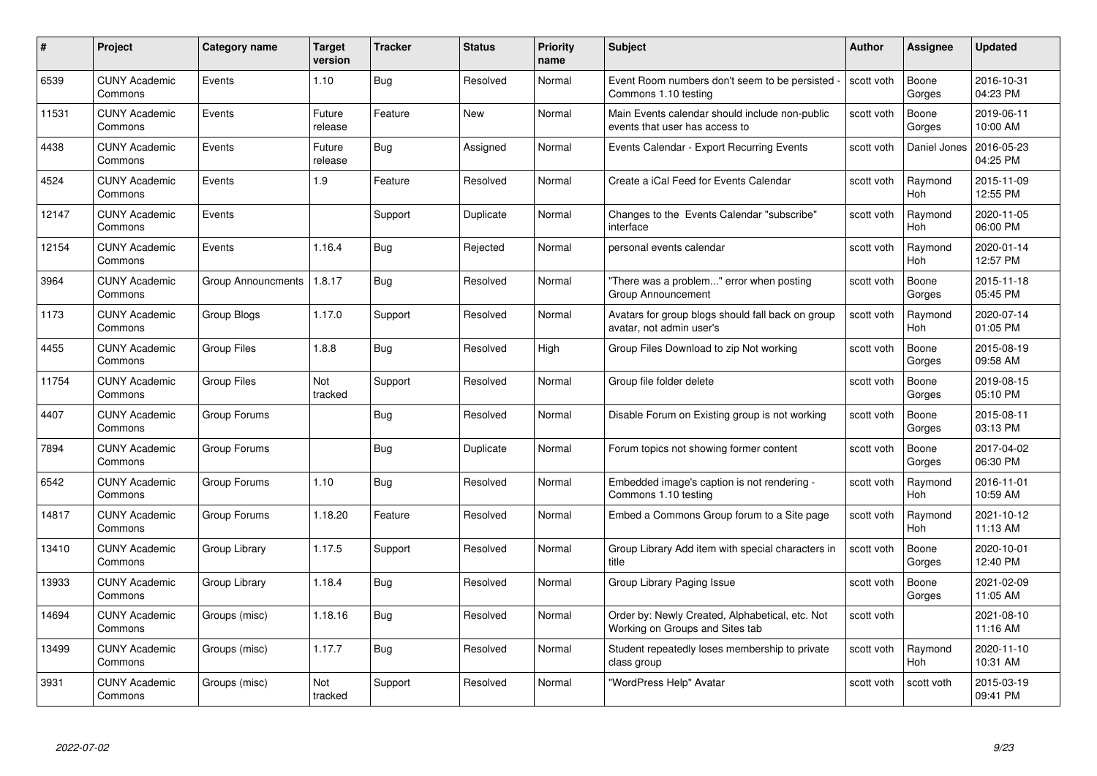| #     | Project                         | Category name             | <b>Target</b><br>version | <b>Tracker</b> | <b>Status</b> | <b>Priority</b><br>name | <b>Subject</b>                                                                     | <b>Author</b> | Assignee              | <b>Updated</b>         |
|-------|---------------------------------|---------------------------|--------------------------|----------------|---------------|-------------------------|------------------------------------------------------------------------------------|---------------|-----------------------|------------------------|
| 6539  | <b>CUNY Academic</b><br>Commons | Events                    | 1.10                     | Bug            | Resolved      | Normal                  | Event Room numbers don't seem to be persisted<br>Commons 1.10 testing              | scott voth    | Boone<br>Gorges       | 2016-10-31<br>04:23 PM |
| 11531 | <b>CUNY Academic</b><br>Commons | Events                    | Future<br>release        | Feature        | New           | Normal                  | Main Events calendar should include non-public<br>events that user has access to   | scott voth    | Boone<br>Gorges       | 2019-06-11<br>10:00 AM |
| 4438  | <b>CUNY Academic</b><br>Commons | Events                    | Future<br>release        | <b>Bug</b>     | Assigned      | Normal                  | Events Calendar - Export Recurring Events                                          | scott voth    | Daniel Jones          | 2016-05-23<br>04:25 PM |
| 4524  | <b>CUNY Academic</b><br>Commons | Events                    | 1.9                      | Feature        | Resolved      | Normal                  | Create a iCal Feed for Events Calendar                                             | scott voth    | Raymond<br><b>Hoh</b> | 2015-11-09<br>12:55 PM |
| 12147 | <b>CUNY Academic</b><br>Commons | Events                    |                          | Support        | Duplicate     | Normal                  | Changes to the Events Calendar "subscribe"<br>interface                            | scott voth    | Raymond<br>Hoh        | 2020-11-05<br>06:00 PM |
| 12154 | <b>CUNY Academic</b><br>Commons | Events                    | 1.16.4                   | Bug            | Rejected      | Normal                  | personal events calendar                                                           | scott voth    | Raymond<br>Hoh        | 2020-01-14<br>12:57 PM |
| 3964  | <b>CUNY Academic</b><br>Commons | <b>Group Announcments</b> | 1.8.17                   | Bug            | Resolved      | Normal                  | "There was a problem" error when posting<br><b>Group Announcement</b>              | scott voth    | Boone<br>Gorges       | 2015-11-18<br>05:45 PM |
| 1173  | <b>CUNY Academic</b><br>Commons | Group Blogs               | 1.17.0                   | Support        | Resolved      | Normal                  | Avatars for group blogs should fall back on group<br>avatar, not admin user's      | scott voth    | Raymond<br>Hoh        | 2020-07-14<br>01:05 PM |
| 4455  | <b>CUNY Academic</b><br>Commons | <b>Group Files</b>        | 1.8.8                    | Bug            | Resolved      | High                    | Group Files Download to zip Not working                                            | scott voth    | Boone<br>Gorges       | 2015-08-19<br>09:58 AM |
| 11754 | <b>CUNY Academic</b><br>Commons | <b>Group Files</b>        | Not<br>tracked           | Support        | Resolved      | Normal                  | Group file folder delete                                                           | scott voth    | Boone<br>Gorges       | 2019-08-15<br>05:10 PM |
| 4407  | <b>CUNY Academic</b><br>Commons | Group Forums              |                          | <b>Bug</b>     | Resolved      | Normal                  | Disable Forum on Existing group is not working                                     | scott voth    | Boone<br>Gorges       | 2015-08-11<br>03:13 PM |
| 7894  | <b>CUNY Academic</b><br>Commons | Group Forums              |                          | <b>Bug</b>     | Duplicate     | Normal                  | Forum topics not showing former content                                            | scott voth    | Boone<br>Gorges       | 2017-04-02<br>06:30 PM |
| 6542  | <b>CUNY Academic</b><br>Commons | Group Forums              | 1.10                     | <b>Bug</b>     | Resolved      | Normal                  | Embedded image's caption is not rendering -<br>Commons 1.10 testing                | scott voth    | Raymond<br>Hoh        | 2016-11-01<br>10:59 AM |
| 14817 | <b>CUNY Academic</b><br>Commons | Group Forums              | 1.18.20                  | Feature        | Resolved      | Normal                  | Embed a Commons Group forum to a Site page                                         | scott voth    | Raymond<br>Hoh        | 2021-10-12<br>11:13 AM |
| 13410 | <b>CUNY Academic</b><br>Commons | Group Library             | 1.17.5                   | Support        | Resolved      | Normal                  | Group Library Add item with special characters in<br>title                         | scott voth    | Boone<br>Gorges       | 2020-10-01<br>12:40 PM |
| 13933 | <b>CUNY Academic</b><br>Commons | Group Library             | 1.18.4                   | Bug            | Resolved      | Normal                  | Group Library Paging Issue                                                         | scott voth    | Boone<br>Gorges       | 2021-02-09<br>11:05 AM |
| 14694 | <b>CUNY Academic</b><br>Commons | Groups (misc)             | 1.18.16                  | <b>Bug</b>     | Resolved      | Normal                  | Order by: Newly Created, Alphabetical, etc. Not<br>Working on Groups and Sites tab | scott voth    |                       | 2021-08-10<br>11:16 AM |
| 13499 | <b>CUNY Academic</b><br>Commons | Groups (misc)             | 1.17.7                   | Bug            | Resolved      | Normal                  | Student repeatedly loses membership to private<br>class group                      | scott voth    | Raymond<br><b>Hoh</b> | 2020-11-10<br>10:31 AM |
| 3931  | <b>CUNY Academic</b><br>Commons | Groups (misc)             | Not<br>tracked           | Support        | Resolved      | Normal                  | "WordPress Help" Avatar                                                            | scott voth    | scott voth            | 2015-03-19<br>09:41 PM |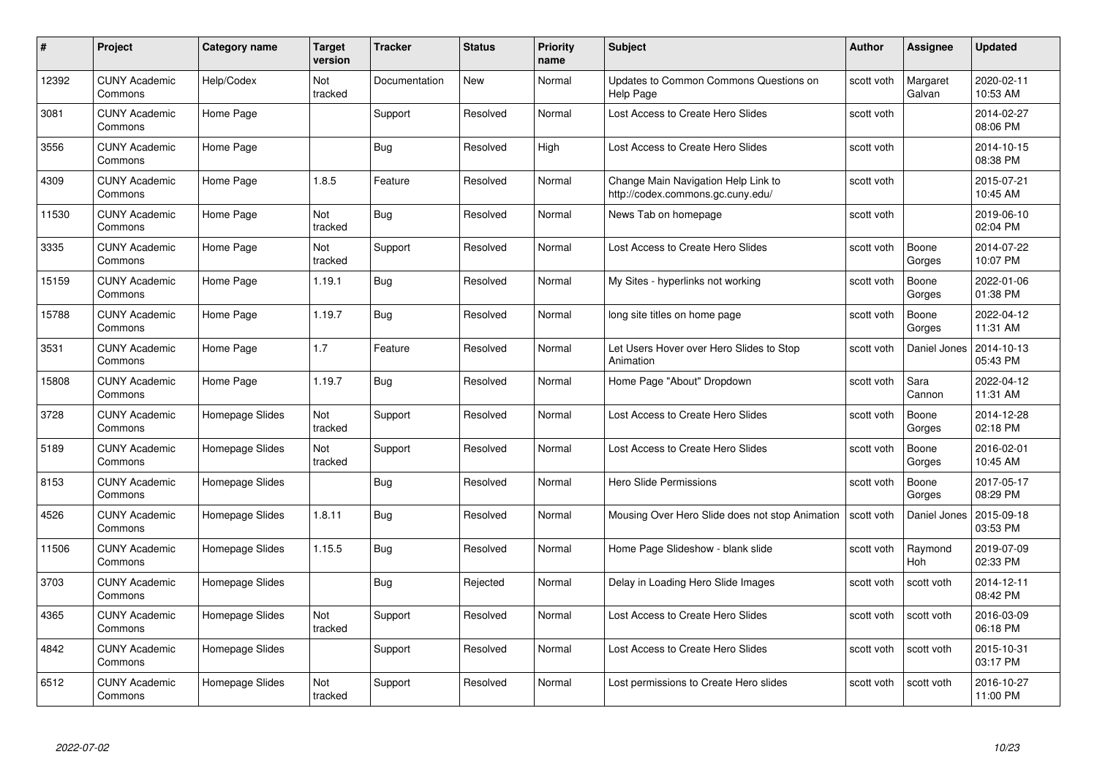| #     | Project                         | <b>Category name</b> | Target<br>version | <b>Tracker</b> | <b>Status</b> | <b>Priority</b><br>name | <b>Subject</b>                                                           | <b>Author</b> | <b>Assignee</b>    | <b>Updated</b>         |
|-------|---------------------------------|----------------------|-------------------|----------------|---------------|-------------------------|--------------------------------------------------------------------------|---------------|--------------------|------------------------|
| 12392 | <b>CUNY Academic</b><br>Commons | Help/Codex           | Not<br>tracked    | Documentation  | <b>New</b>    | Normal                  | Updates to Common Commons Questions on<br><b>Help Page</b>               | scott voth    | Margaret<br>Galvan | 2020-02-11<br>10:53 AM |
| 3081  | <b>CUNY Academic</b><br>Commons | Home Page            |                   | Support        | Resolved      | Normal                  | Lost Access to Create Hero Slides                                        | scott voth    |                    | 2014-02-27<br>08:06 PM |
| 3556  | <b>CUNY Academic</b><br>Commons | Home Page            |                   | Bug            | Resolved      | High                    | Lost Access to Create Hero Slides                                        | scott voth    |                    | 2014-10-15<br>08:38 PM |
| 4309  | <b>CUNY Academic</b><br>Commons | Home Page            | 1.8.5             | Feature        | Resolved      | Normal                  | Change Main Navigation Help Link to<br>http://codex.commons.gc.cuny.edu/ | scott voth    |                    | 2015-07-21<br>10:45 AM |
| 11530 | <b>CUNY Academic</b><br>Commons | Home Page            | Not<br>tracked    | <b>Bug</b>     | Resolved      | Normal                  | News Tab on homepage                                                     | scott voth    |                    | 2019-06-10<br>02:04 PM |
| 3335  | <b>CUNY Academic</b><br>Commons | Home Page            | Not<br>tracked    | Support        | Resolved      | Normal                  | Lost Access to Create Hero Slides                                        | scott voth    | Boone<br>Gorges    | 2014-07-22<br>10:07 PM |
| 15159 | <b>CUNY Academic</b><br>Commons | Home Page            | 1.19.1            | Bug            | Resolved      | Normal                  | My Sites - hyperlinks not working                                        | scott voth    | Boone<br>Gorges    | 2022-01-06<br>01:38 PM |
| 15788 | <b>CUNY Academic</b><br>Commons | Home Page            | 1.19.7            | Bug            | Resolved      | Normal                  | long site titles on home page                                            | scott voth    | Boone<br>Gorges    | 2022-04-12<br>11:31 AM |
| 3531  | <b>CUNY Academic</b><br>Commons | Home Page            | 1.7               | Feature        | Resolved      | Normal                  | Let Users Hover over Hero Slides to Stop<br>Animation                    | scott voth    | Daniel Jones       | 2014-10-13<br>05:43 PM |
| 15808 | <b>CUNY Academic</b><br>Commons | Home Page            | 1.19.7            | Bug            | Resolved      | Normal                  | Home Page "About" Dropdown                                               | scott voth    | Sara<br>Cannon     | 2022-04-12<br>11:31 AM |
| 3728  | CUNY Academic<br>Commons        | Homepage Slides      | Not<br>tracked    | Support        | Resolved      | Normal                  | Lost Access to Create Hero Slides                                        | scott voth    | Boone<br>Gorges    | 2014-12-28<br>02:18 PM |
| 5189  | <b>CUNY Academic</b><br>Commons | Homepage Slides      | Not<br>tracked    | Support        | Resolved      | Normal                  | Lost Access to Create Hero Slides                                        | scott voth    | Boone<br>Gorges    | 2016-02-01<br>10:45 AM |
| 8153  | <b>CUNY Academic</b><br>Commons | Homepage Slides      |                   | Bug            | Resolved      | Normal                  | <b>Hero Slide Permissions</b>                                            | scott voth    | Boone<br>Gorges    | 2017-05-17<br>08:29 PM |
| 4526  | <b>CUNY Academic</b><br>Commons | Homepage Slides      | 1.8.11            | <b>Bug</b>     | Resolved      | Normal                  | Mousing Over Hero Slide does not stop Animation                          | scott voth    | Daniel Jones       | 2015-09-18<br>03:53 PM |
| 11506 | <b>CUNY Academic</b><br>Commons | Homepage Slides      | 1.15.5            | Bug            | Resolved      | Normal                  | Home Page Slideshow - blank slide                                        | scott voth    | Raymond<br>Hoh     | 2019-07-09<br>02:33 PM |
| 3703  | <b>CUNY Academic</b><br>Commons | Homepage Slides      |                   | Bug            | Rejected      | Normal                  | Delay in Loading Hero Slide Images                                       | scott voth    | scott voth         | 2014-12-11<br>08:42 PM |
| 4365  | <b>CUNY Academic</b><br>Commons | Homepage Slides      | Not<br>tracked    | Support        | Resolved      | Normal                  | Lost Access to Create Hero Slides                                        | scott voth    | scott voth         | 2016-03-09<br>06:18 PM |
| 4842  | <b>CUNY Academic</b><br>Commons | Homepage Slides      |                   | Support        | Resolved      | Normal                  | Lost Access to Create Hero Slides                                        | scott voth    | scott voth         | 2015-10-31<br>03:17 PM |
| 6512  | CUNY Academic<br>Commons        | Homepage Slides      | Not<br>tracked    | Support        | Resolved      | Normal                  | Lost permissions to Create Hero slides                                   | scott voth    | scott voth         | 2016-10-27<br>11:00 PM |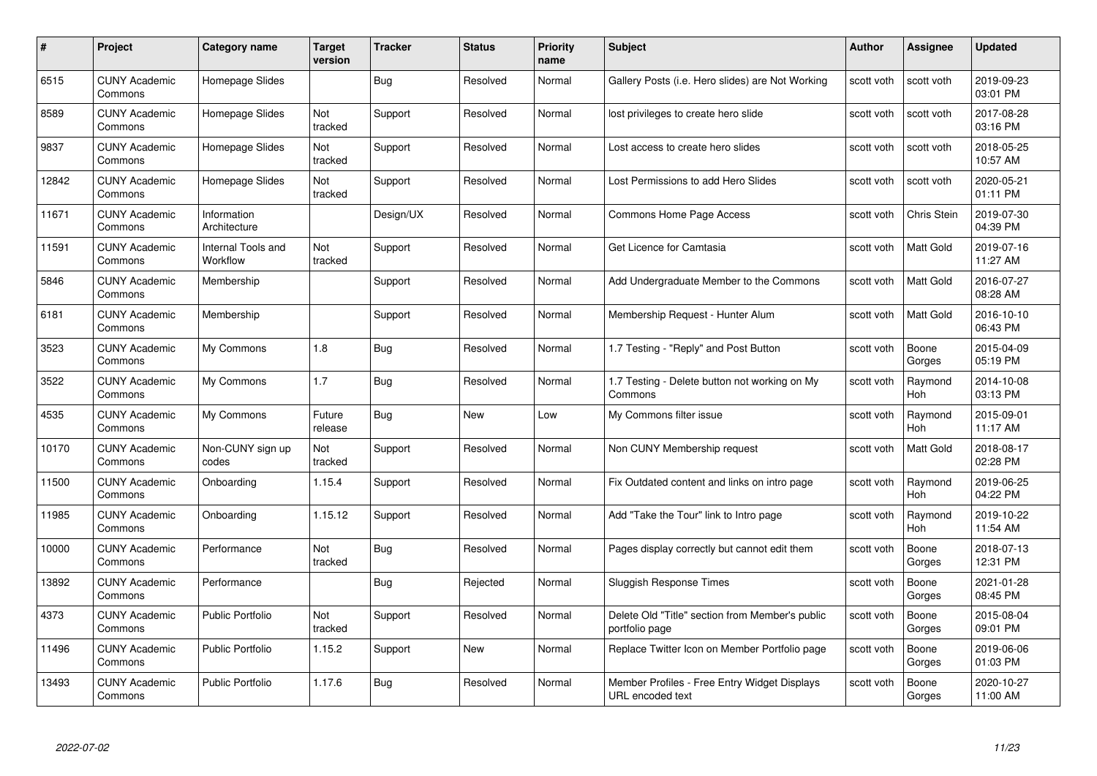| #     | Project                         | Category name                         | Target<br>version | <b>Tracker</b> | <b>Status</b> | <b>Priority</b><br>name | <b>Subject</b>                                                    | <b>Author</b> | <b>Assignee</b>       | <b>Updated</b>         |
|-------|---------------------------------|---------------------------------------|-------------------|----------------|---------------|-------------------------|-------------------------------------------------------------------|---------------|-----------------------|------------------------|
| 6515  | <b>CUNY Academic</b><br>Commons | Homepage Slides                       |                   | Bug            | Resolved      | Normal                  | Gallery Posts (i.e. Hero slides) are Not Working                  | scott voth    | scott voth            | 2019-09-23<br>03:01 PM |
| 8589  | <b>CUNY Academic</b><br>Commons | Homepage Slides                       | Not<br>tracked    | Support        | Resolved      | Normal                  | lost privileges to create hero slide                              | scott voth    | scott voth            | 2017-08-28<br>03:16 PM |
| 9837  | <b>CUNY Academic</b><br>Commons | Homepage Slides                       | Not<br>tracked    | Support        | Resolved      | Normal                  | Lost access to create hero slides                                 | scott voth    | scott voth            | 2018-05-25<br>10:57 AM |
| 12842 | <b>CUNY Academic</b><br>Commons | Homepage Slides                       | Not<br>tracked    | Support        | Resolved      | Normal                  | Lost Permissions to add Hero Slides                               | scott voth    | scott voth            | 2020-05-21<br>01:11 PM |
| 11671 | <b>CUNY Academic</b><br>Commons | Information<br>Architecture           |                   | Design/UX      | Resolved      | Normal                  | Commons Home Page Access                                          | scott voth    | Chris Stein           | 2019-07-30<br>04:39 PM |
| 11591 | <b>CUNY Academic</b><br>Commons | <b>Internal Tools and</b><br>Workflow | Not<br>tracked    | Support        | Resolved      | Normal                  | Get Licence for Camtasia                                          | scott voth    | Matt Gold             | 2019-07-16<br>11:27 AM |
| 5846  | <b>CUNY Academic</b><br>Commons | Membership                            |                   | Support        | Resolved      | Normal                  | Add Undergraduate Member to the Commons                           | scott voth    | Matt Gold             | 2016-07-27<br>08:28 AM |
| 6181  | <b>CUNY Academic</b><br>Commons | Membership                            |                   | Support        | Resolved      | Normal                  | Membership Request - Hunter Alum                                  | scott voth    | Matt Gold             | 2016-10-10<br>06:43 PM |
| 3523  | <b>CUNY Academic</b><br>Commons | My Commons                            | 1.8               | <b>Bug</b>     | Resolved      | Normal                  | 1.7 Testing - "Reply" and Post Button                             | scott voth    | Boone<br>Gorges       | 2015-04-09<br>05:19 PM |
| 3522  | <b>CUNY Academic</b><br>Commons | My Commons                            | 1.7               | <b>Bug</b>     | Resolved      | Normal                  | 1.7 Testing - Delete button not working on My<br>Commons          | scott voth    | Raymond<br><b>Hoh</b> | 2014-10-08<br>03:13 PM |
| 4535  | <b>CUNY Academic</b><br>Commons | My Commons                            | Future<br>release | <b>Bug</b>     | New           | Low                     | My Commons filter issue                                           | scott voth    | Raymond<br><b>Hoh</b> | 2015-09-01<br>11:17 AM |
| 10170 | <b>CUNY Academic</b><br>Commons | Non-CUNY sign up<br>codes             | Not<br>tracked    | Support        | Resolved      | Normal                  | Non CUNY Membership request                                       | scott voth    | Matt Gold             | 2018-08-17<br>02:28 PM |
| 11500 | <b>CUNY Academic</b><br>Commons | Onboarding                            | 1.15.4            | Support        | Resolved      | Normal                  | Fix Outdated content and links on intro page                      | scott voth    | Raymond<br>Hoh        | 2019-06-25<br>04:22 PM |
| 11985 | <b>CUNY Academic</b><br>Commons | Onboarding                            | 1.15.12           | Support        | Resolved      | Normal                  | Add "Take the Tour" link to Intro page                            | scott voth    | Raymond<br><b>Hoh</b> | 2019-10-22<br>11:54 AM |
| 10000 | <b>CUNY Academic</b><br>Commons | Performance                           | Not<br>tracked    | Bug            | Resolved      | Normal                  | Pages display correctly but cannot edit them                      | scott voth    | Boone<br>Gorges       | 2018-07-13<br>12:31 PM |
| 13892 | <b>CUNY Academic</b><br>Commons | Performance                           |                   | <b>Bug</b>     | Rejected      | Normal                  | <b>Sluggish Response Times</b>                                    | scott voth    | Boone<br>Gorges       | 2021-01-28<br>08:45 PM |
| 4373  | <b>CUNY Academic</b><br>Commons | <b>Public Portfolio</b>               | Not<br>tracked    | Support        | Resolved      | Normal                  | Delete Old "Title" section from Member's public<br>portfolio page | scott voth    | Boone<br>Gorges       | 2015-08-04<br>09:01 PM |
| 11496 | <b>CUNY Academic</b><br>Commons | <b>Public Portfolio</b>               | 1.15.2            | Support        | New           | Normal                  | Replace Twitter Icon on Member Portfolio page                     | scott voth    | Boone<br>Gorges       | 2019-06-06<br>01:03 PM |
| 13493 | CUNY Academic<br>Commons        | <b>Public Portfolio</b>               | 1.17.6            | <b>Bug</b>     | Resolved      | Normal                  | Member Profiles - Free Entry Widget Displays<br>URL encoded text  | scott voth    | Boone<br>Gorges       | 2020-10-27<br>11:00 AM |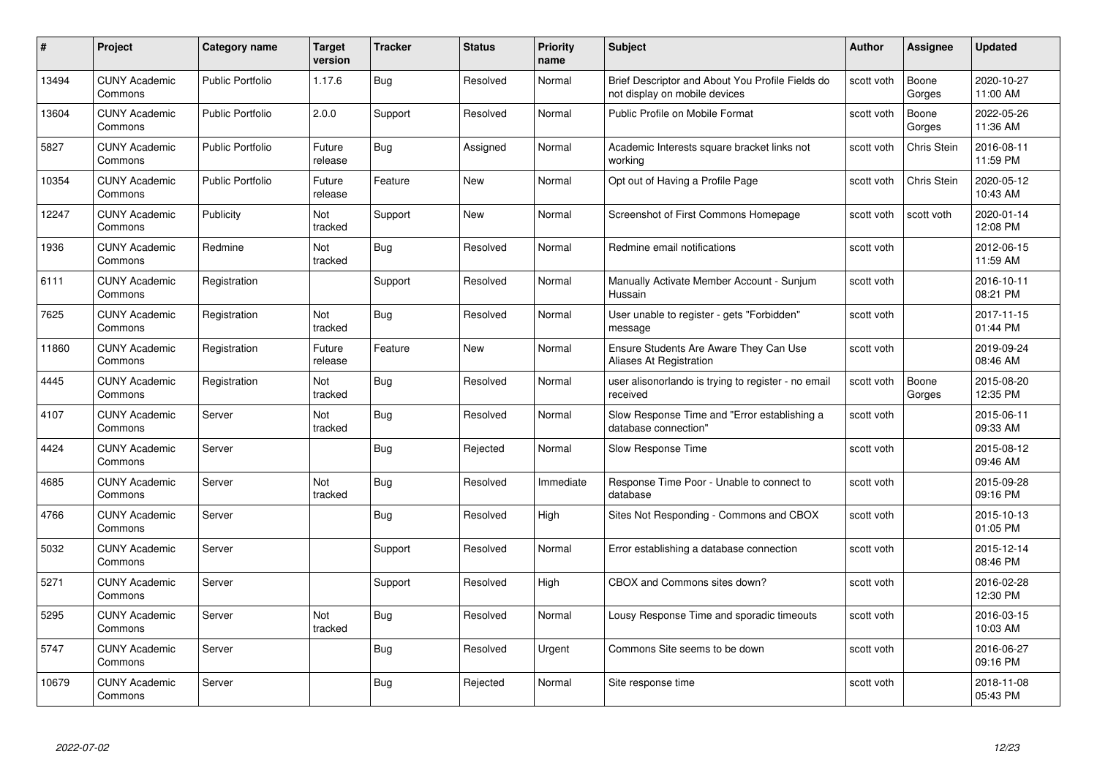| #     | Project                         | <b>Category name</b>    | Target<br>version | <b>Tracker</b> | <b>Status</b> | <b>Priority</b><br>name | <b>Subject</b>                                                                    | Author     | Assignee        | <b>Updated</b>         |
|-------|---------------------------------|-------------------------|-------------------|----------------|---------------|-------------------------|-----------------------------------------------------------------------------------|------------|-----------------|------------------------|
| 13494 | <b>CUNY Academic</b><br>Commons | Public Portfolio        | 1.17.6            | <b>Bug</b>     | Resolved      | Normal                  | Brief Descriptor and About You Profile Fields do<br>not display on mobile devices | scott voth | Boone<br>Gorges | 2020-10-27<br>11:00 AM |
| 13604 | <b>CUNY Academic</b><br>Commons | <b>Public Portfolio</b> | 2.0.0             | Support        | Resolved      | Normal                  | Public Profile on Mobile Format                                                   | scott voth | Boone<br>Gorges | 2022-05-26<br>11:36 AM |
| 5827  | <b>CUNY Academic</b><br>Commons | <b>Public Portfolio</b> | Future<br>release | <b>Bug</b>     | Assigned      | Normal                  | Academic Interests square bracket links not<br>workina                            | scott voth | Chris Stein     | 2016-08-11<br>11:59 PM |
| 10354 | <b>CUNY Academic</b><br>Commons | Public Portfolio        | Future<br>release | Feature        | <b>New</b>    | Normal                  | Opt out of Having a Profile Page                                                  | scott voth | Chris Stein     | 2020-05-12<br>10:43 AM |
| 12247 | <b>CUNY Academic</b><br>Commons | Publicity               | Not<br>tracked    | Support        | <b>New</b>    | Normal                  | Screenshot of First Commons Homepage                                              | scott voth | scott voth      | 2020-01-14<br>12:08 PM |
| 1936  | <b>CUNY Academic</b><br>Commons | Redmine                 | Not<br>tracked    | <b>Bug</b>     | Resolved      | Normal                  | Redmine email notifications                                                       | scott voth |                 | 2012-06-15<br>11:59 AM |
| 6111  | <b>CUNY Academic</b><br>Commons | Registration            |                   | Support        | Resolved      | Normal                  | Manually Activate Member Account - Sunjum<br>Hussain                              | scott voth |                 | 2016-10-11<br>08:21 PM |
| 7625  | <b>CUNY Academic</b><br>Commons | Registration            | Not<br>tracked    | <b>Bug</b>     | Resolved      | Normal                  | User unable to register - gets "Forbidden"<br>message                             | scott voth |                 | 2017-11-15<br>01:44 PM |
| 11860 | <b>CUNY Academic</b><br>Commons | Registration            | Future<br>release | Feature        | New           | Normal                  | Ensure Students Are Aware They Can Use<br>Aliases At Registration                 | scott voth |                 | 2019-09-24<br>08:46 AM |
| 4445  | <b>CUNY Academic</b><br>Commons | Registration            | Not<br>tracked    | Bug            | Resolved      | Normal                  | user alisonorlando is trying to register - no email<br>received                   | scott voth | Boone<br>Gorges | 2015-08-20<br>12:35 PM |
| 4107  | <b>CUNY Academic</b><br>Commons | Server                  | Not<br>tracked    | Bug            | Resolved      | Normal                  | Slow Response Time and "Error establishing a<br>database connection"              | scott voth |                 | 2015-06-11<br>09:33 AM |
| 4424  | <b>CUNY Academic</b><br>Commons | Server                  |                   | Bug            | Rejected      | Normal                  | Slow Response Time                                                                | scott voth |                 | 2015-08-12<br>09:46 AM |
| 4685  | <b>CUNY Academic</b><br>Commons | Server                  | Not<br>tracked    | Bug            | Resolved      | Immediate               | Response Time Poor - Unable to connect to<br>database                             | scott voth |                 | 2015-09-28<br>09:16 PM |
| 4766  | <b>CUNY Academic</b><br>Commons | Server                  |                   | <b>Bug</b>     | Resolved      | High                    | Sites Not Responding - Commons and CBOX                                           | scott voth |                 | 2015-10-13<br>01:05 PM |
| 5032  | <b>CUNY Academic</b><br>Commons | Server                  |                   | Support        | Resolved      | Normal                  | Error establishing a database connection                                          | scott voth |                 | 2015-12-14<br>08:46 PM |
| 5271  | <b>CUNY Academic</b><br>Commons | Server                  |                   | Support        | Resolved      | High                    | CBOX and Commons sites down?                                                      | scott voth |                 | 2016-02-28<br>12:30 PM |
| 5295  | <b>CUNY Academic</b><br>Commons | Server                  | Not<br>tracked    | <b>Bug</b>     | Resolved      | Normal                  | Lousy Response Time and sporadic timeouts                                         | scott voth |                 | 2016-03-15<br>10:03 AM |
| 5747  | <b>CUNY Academic</b><br>Commons | Server                  |                   | Bug            | Resolved      | Urgent                  | Commons Site seems to be down                                                     | scott voth |                 | 2016-06-27<br>09:16 PM |
| 10679 | CUNY Academic<br>Commons        | Server                  |                   | Bug            | Rejected      | Normal                  | Site response time                                                                | scott voth |                 | 2018-11-08<br>05:43 PM |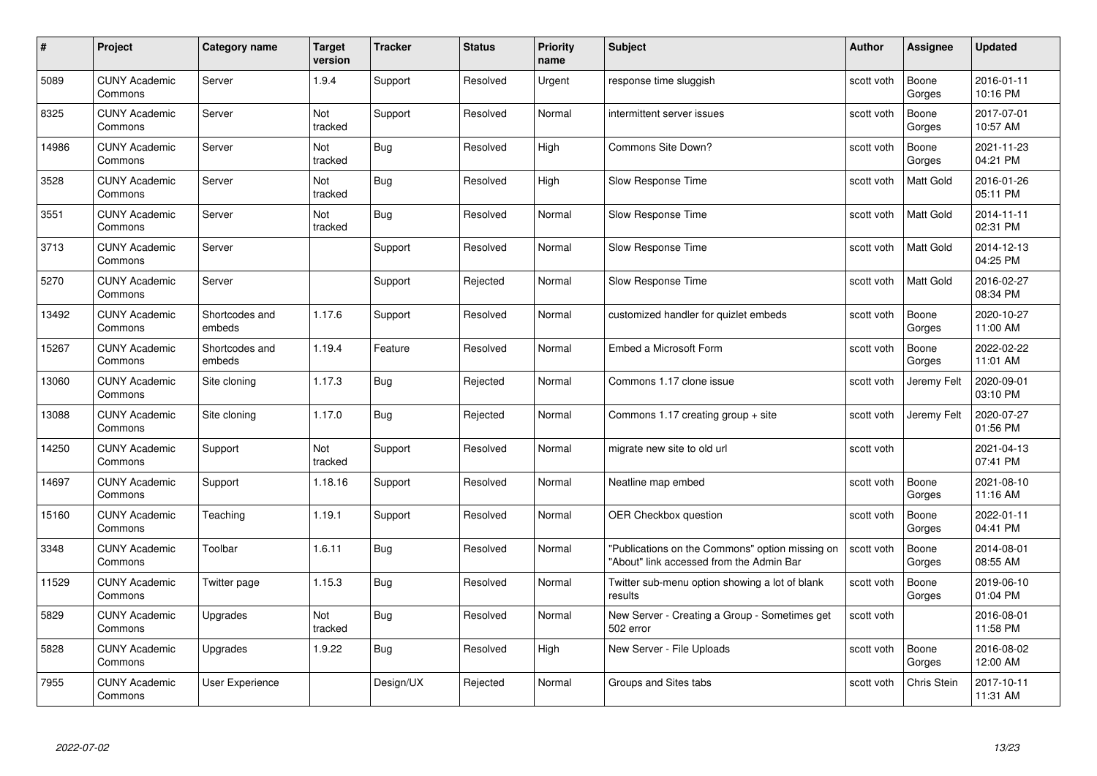| #     | Project                         | <b>Category name</b>     | <b>Target</b><br>version | <b>Tracker</b> | <b>Status</b> | <b>Priority</b><br>name | <b>Subject</b>                                                                              | <b>Author</b> | <b>Assignee</b>    | <b>Updated</b>         |
|-------|---------------------------------|--------------------------|--------------------------|----------------|---------------|-------------------------|---------------------------------------------------------------------------------------------|---------------|--------------------|------------------------|
| 5089  | <b>CUNY Academic</b><br>Commons | Server                   | 1.9.4                    | Support        | Resolved      | Urgent                  | response time sluggish                                                                      | scott voth    | Boone<br>Gorges    | 2016-01-11<br>10:16 PM |
| 8325  | <b>CUNY Academic</b><br>Commons | Server                   | Not<br>tracked           | Support        | Resolved      | Normal                  | intermittent server issues                                                                  | scott voth    | Boone<br>Gorges    | 2017-07-01<br>10:57 AM |
| 14986 | <b>CUNY Academic</b><br>Commons | Server                   | Not<br>tracked           | Bug            | Resolved      | High                    | Commons Site Down?                                                                          | scott voth    | Boone<br>Gorges    | 2021-11-23<br>04:21 PM |
| 3528  | <b>CUNY Academic</b><br>Commons | Server                   | Not<br>tracked           | <b>Bug</b>     | Resolved      | High                    | Slow Response Time                                                                          | scott voth    | Matt Gold          | 2016-01-26<br>05:11 PM |
| 3551  | <b>CUNY Academic</b><br>Commons | Server                   | Not<br>tracked           | Bug            | Resolved      | Normal                  | Slow Response Time                                                                          | scott voth    | <b>Matt Gold</b>   | 2014-11-11<br>02:31 PM |
| 3713  | <b>CUNY Academic</b><br>Commons | Server                   |                          | Support        | Resolved      | Normal                  | Slow Response Time                                                                          | scott voth    | Matt Gold          | 2014-12-13<br>04:25 PM |
| 5270  | <b>CUNY Academic</b><br>Commons | Server                   |                          | Support        | Rejected      | Normal                  | Slow Response Time                                                                          | scott voth    | Matt Gold          | 2016-02-27<br>08:34 PM |
| 13492 | <b>CUNY Academic</b><br>Commons | Shortcodes and<br>embeds | 1.17.6                   | Support        | Resolved      | Normal                  | customized handler for quizlet embeds                                                       | scott voth    | Boone<br>Gorges    | 2020-10-27<br>11:00 AM |
| 15267 | <b>CUNY Academic</b><br>Commons | Shortcodes and<br>embeds | 1.19.4                   | Feature        | Resolved      | Normal                  | Embed a Microsoft Form                                                                      | scott voth    | Boone<br>Gorges    | 2022-02-22<br>11:01 AM |
| 13060 | <b>CUNY Academic</b><br>Commons | Site cloning             | 1.17.3                   | Bug            | Rejected      | Normal                  | Commons 1.17 clone issue                                                                    | scott voth    | Jeremy Felt        | 2020-09-01<br>03:10 PM |
| 13088 | <b>CUNY Academic</b><br>Commons | Site cloning             | 1.17.0                   | Bug            | Rejected      | Normal                  | Commons 1.17 creating group + site                                                          | scott voth    | Jeremy Felt        | 2020-07-27<br>01:56 PM |
| 14250 | <b>CUNY Academic</b><br>Commons | Support                  | Not<br>tracked           | Support        | Resolved      | Normal                  | migrate new site to old url                                                                 | scott voth    |                    | 2021-04-13<br>07:41 PM |
| 14697 | <b>CUNY Academic</b><br>Commons | Support                  | 1.18.16                  | Support        | Resolved      | Normal                  | Neatline map embed                                                                          | scott voth    | Boone<br>Gorges    | 2021-08-10<br>11:16 AM |
| 15160 | <b>CUNY Academic</b><br>Commons | Teaching                 | 1.19.1                   | Support        | Resolved      | Normal                  | OER Checkbox question                                                                       | scott voth    | Boone<br>Gorges    | 2022-01-11<br>04:41 PM |
| 3348  | <b>CUNY Academic</b><br>Commons | Toolbar                  | 1.6.11                   | <b>Bug</b>     | Resolved      | Normal                  | "Publications on the Commons" option missing on<br>"About" link accessed from the Admin Bar | scott voth    | Boone<br>Gorges    | 2014-08-01<br>08:55 AM |
| 11529 | <b>CUNY Academic</b><br>Commons | Twitter page             | 1.15.3                   | <b>Bug</b>     | Resolved      | Normal                  | Twitter sub-menu option showing a lot of blank<br>results                                   | scott voth    | Boone<br>Gorges    | 2019-06-10<br>01:04 PM |
| 5829  | <b>CUNY Academic</b><br>Commons | Upgrades                 | Not<br>tracked           | <b>Bug</b>     | Resolved      | Normal                  | New Server - Creating a Group - Sometimes get<br>502 error                                  | scott voth    |                    | 2016-08-01<br>11:58 PM |
| 5828  | <b>CUNY Academic</b><br>Commons | Upgrades                 | 1.9.22                   | <b>Bug</b>     | Resolved      | High                    | New Server - File Uploads                                                                   | scott voth    | Boone<br>Gorges    | 2016-08-02<br>12:00 AM |
| 7955  | <b>CUNY Academic</b><br>Commons | User Experience          |                          | Design/UX      | Rejected      | Normal                  | Groups and Sites tabs                                                                       | scott voth    | <b>Chris Stein</b> | 2017-10-11<br>11:31 AM |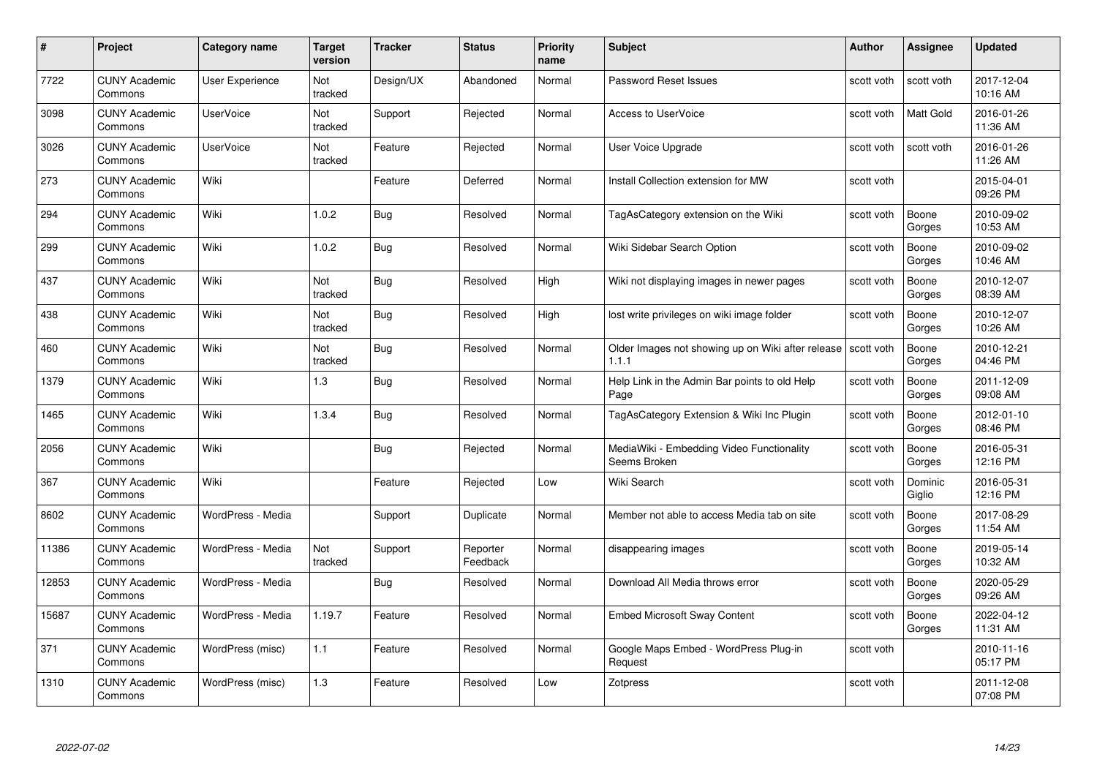| #     | Project                         | <b>Category name</b> | <b>Target</b><br>version | <b>Tracker</b> | <b>Status</b>        | <b>Priority</b><br>name | <b>Subject</b>                                                          | <b>Author</b> | <b>Assignee</b>   | <b>Updated</b>         |
|-------|---------------------------------|----------------------|--------------------------|----------------|----------------------|-------------------------|-------------------------------------------------------------------------|---------------|-------------------|------------------------|
| 7722  | <b>CUNY Academic</b><br>Commons | User Experience      | <b>Not</b><br>tracked    | Design/UX      | Abandoned            | Normal                  | Password Reset Issues                                                   | scott voth    | scott voth        | 2017-12-04<br>10:16 AM |
| 3098  | <b>CUNY Academic</b><br>Commons | <b>UserVoice</b>     | Not<br>tracked           | Support        | Rejected             | Normal                  | <b>Access to UserVoice</b>                                              | scott voth    | Matt Gold         | 2016-01-26<br>11:36 AM |
| 3026  | <b>CUNY Academic</b><br>Commons | <b>UserVoice</b>     | Not<br>tracked           | Feature        | Rejected             | Normal                  | User Voice Upgrade                                                      | scott voth    | scott voth        | 2016-01-26<br>11:26 AM |
| 273   | <b>CUNY Academic</b><br>Commons | Wiki                 |                          | Feature        | Deferred             | Normal                  | Install Collection extension for MW                                     | scott voth    |                   | 2015-04-01<br>09:26 PM |
| 294   | <b>CUNY Academic</b><br>Commons | Wiki                 | 1.0.2                    | <b>Bug</b>     | Resolved             | Normal                  | TagAsCategory extension on the Wiki                                     | scott voth    | Boone<br>Gorges   | 2010-09-02<br>10:53 AM |
| 299   | <b>CUNY Academic</b><br>Commons | Wiki                 | 1.0.2                    | <b>Bug</b>     | Resolved             | Normal                  | Wiki Sidebar Search Option                                              | scott voth    | Boone<br>Gorges   | 2010-09-02<br>10:46 AM |
| 437   | <b>CUNY Academic</b><br>Commons | Wiki                 | Not<br>tracked           | <b>Bug</b>     | Resolved             | High                    | Wiki not displaying images in newer pages                               | scott voth    | Boone<br>Gorges   | 2010-12-07<br>08:39 AM |
| 438   | <b>CUNY Academic</b><br>Commons | Wiki                 | Not<br>tracked           | <b>Bug</b>     | Resolved             | High                    | lost write privileges on wiki image folder                              | scott voth    | Boone<br>Gorges   | 2010-12-07<br>10:26 AM |
| 460   | <b>CUNY Academic</b><br>Commons | Wiki                 | Not<br>tracked           | <b>Bug</b>     | Resolved             | Normal                  | Older Images not showing up on Wiki after release   scott voth<br>1.1.1 |               | Boone<br>Gorges   | 2010-12-21<br>04:46 PM |
| 1379  | <b>CUNY Academic</b><br>Commons | Wiki                 | 1.3                      | <b>Bug</b>     | Resolved             | Normal                  | Help Link in the Admin Bar points to old Help<br>Page                   | scott voth    | Boone<br>Gorges   | 2011-12-09<br>09:08 AM |
| 1465  | <b>CUNY Academic</b><br>Commons | Wiki                 | 1.3.4                    | Bug            | Resolved             | Normal                  | TagAsCategory Extension & Wiki Inc Plugin                               | scott voth    | Boone<br>Gorges   | 2012-01-10<br>08:46 PM |
| 2056  | <b>CUNY Academic</b><br>Commons | Wiki                 |                          | <b>Bug</b>     | Rejected             | Normal                  | MediaWiki - Embedding Video Functionality<br>Seems Broken               | scott voth    | Boone<br>Gorges   | 2016-05-31<br>12:16 PM |
| 367   | <b>CUNY Academic</b><br>Commons | Wiki                 |                          | Feature        | Rejected             | Low                     | Wiki Search                                                             | scott voth    | Dominic<br>Giglio | 2016-05-31<br>12:16 PM |
| 8602  | <b>CUNY Academic</b><br>Commons | WordPress - Media    |                          | Support        | Duplicate            | Normal                  | Member not able to access Media tab on site                             | scott voth    | Boone<br>Gorges   | 2017-08-29<br>11:54 AM |
| 11386 | <b>CUNY Academic</b><br>Commons | WordPress - Media    | Not<br>tracked           | Support        | Reporter<br>Feedback | Normal                  | disappearing images                                                     | scott voth    | Boone<br>Gorges   | 2019-05-14<br>10:32 AM |
| 12853 | <b>CUNY Academic</b><br>Commons | WordPress - Media    |                          | <b>Bug</b>     | Resolved             | Normal                  | Download All Media throws error                                         | scott voth    | Boone<br>Gorges   | 2020-05-29<br>09:26 AM |
| 15687 | <b>CUNY Academic</b><br>Commons | WordPress - Media    | 1.19.7                   | Feature        | Resolved             | Normal                  | <b>Embed Microsoft Sway Content</b>                                     | scott voth    | Boone<br>Gorges   | 2022-04-12<br>11:31 AM |
| 371   | <b>CUNY Academic</b><br>Commons | WordPress (misc)     | 1.1                      | Feature        | Resolved             | Normal                  | Google Maps Embed - WordPress Plug-in<br>Request                        | scott voth    |                   | 2010-11-16<br>05:17 PM |
| 1310  | <b>CUNY Academic</b><br>Commons | WordPress (misc)     | 1.3                      | Feature        | Resolved             | Low                     | Zotpress                                                                | scott voth    |                   | 2011-12-08<br>07:08 PM |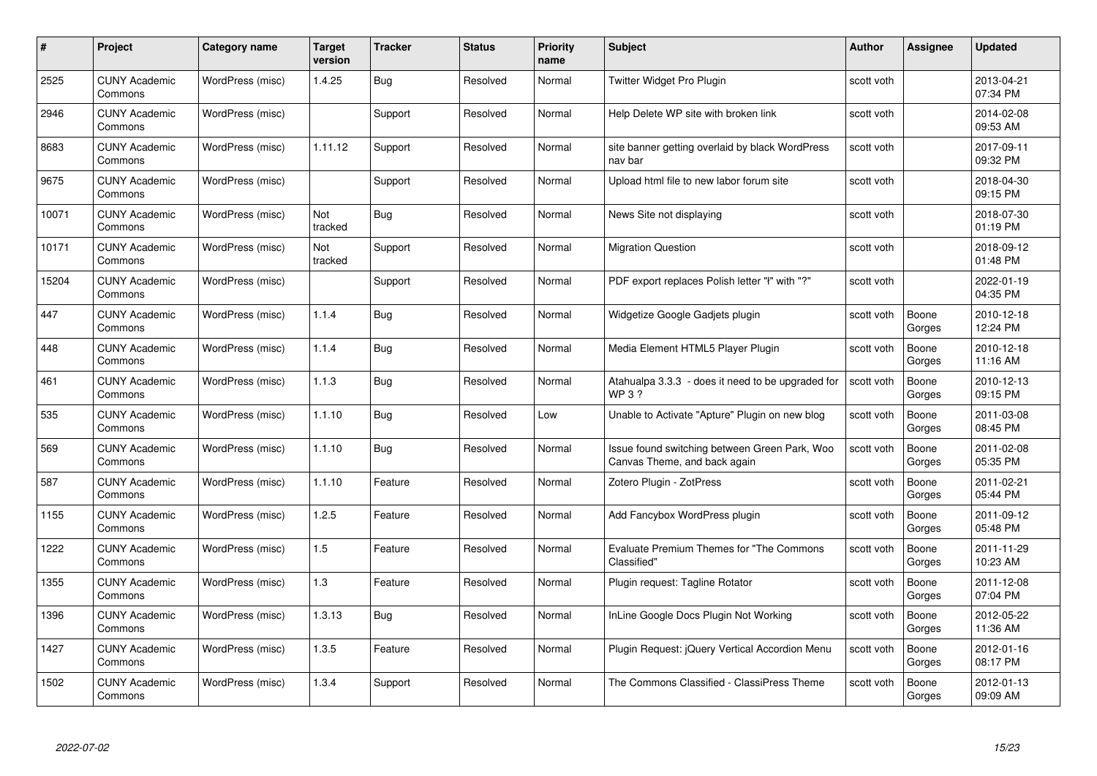| #     | Project                         | <b>Category name</b> | Target<br>version | <b>Tracker</b> | <b>Status</b> | <b>Priority</b><br>name | <b>Subject</b>                                                                | <b>Author</b> | <b>Assignee</b> | <b>Updated</b>         |
|-------|---------------------------------|----------------------|-------------------|----------------|---------------|-------------------------|-------------------------------------------------------------------------------|---------------|-----------------|------------------------|
| 2525  | <b>CUNY Academic</b><br>Commons | WordPress (misc)     | 1.4.25            | <b>Bug</b>     | Resolved      | Normal                  | Twitter Widget Pro Plugin                                                     | scott voth    |                 | 2013-04-21<br>07:34 PM |
| 2946  | <b>CUNY Academic</b><br>Commons | WordPress (misc)     |                   | Support        | Resolved      | Normal                  | Help Delete WP site with broken link                                          | scott voth    |                 | 2014-02-08<br>09:53 AM |
| 8683  | <b>CUNY Academic</b><br>Commons | WordPress (misc)     | 1.11.12           | Support        | Resolved      | Normal                  | site banner getting overlaid by black WordPress<br>nav bar                    | scott voth    |                 | 2017-09-11<br>09:32 PM |
| 9675  | <b>CUNY Academic</b><br>Commons | WordPress (misc)     |                   | Support        | Resolved      | Normal                  | Upload html file to new labor forum site                                      | scott voth    |                 | 2018-04-30<br>09:15 PM |
| 10071 | <b>CUNY Academic</b><br>Commons | WordPress (misc)     | Not<br>tracked    | <b>Bug</b>     | Resolved      | Normal                  | News Site not displaying                                                      | scott voth    |                 | 2018-07-30<br>01:19 PM |
| 10171 | <b>CUNY Academic</b><br>Commons | WordPress (misc)     | Not<br>tracked    | Support        | Resolved      | Normal                  | <b>Migration Question</b>                                                     | scott voth    |                 | 2018-09-12<br>01:48 PM |
| 15204 | <b>CUNY Academic</b><br>Commons | WordPress (misc)     |                   | Support        | Resolved      | Normal                  | PDF export replaces Polish letter "I" with "?"                                | scott voth    |                 | 2022-01-19<br>04:35 PM |
| 447   | <b>CUNY Academic</b><br>Commons | WordPress (misc)     | 1.1.4             | <b>Bug</b>     | Resolved      | Normal                  | Widgetize Google Gadjets plugin                                               | scott voth    | Boone<br>Gorges | 2010-12-18<br>12:24 PM |
| 448   | CUNY Academic<br>Commons        | WordPress (misc)     | 1.1.4             | Bug            | Resolved      | Normal                  | Media Element HTML5 Player Plugin                                             | scott voth    | Boone<br>Gorges | 2010-12-18<br>11:16 AM |
| 461   | <b>CUNY Academic</b><br>Commons | WordPress (misc)     | 1.1.3             | Bug            | Resolved      | Normal                  | Atahualpa 3.3.3 - does it need to be upgraded for<br><b>WP3?</b>              | scott voth    | Boone<br>Gorges | 2010-12-13<br>09:15 PM |
| 535   | <b>CUNY Academic</b><br>Commons | WordPress (misc)     | 1.1.10            | Bug            | Resolved      | Low                     | Unable to Activate "Apture" Plugin on new blog                                | scott voth    | Boone<br>Gorges | 2011-03-08<br>08:45 PM |
| 569   | <b>CUNY Academic</b><br>Commons | WordPress (misc)     | 1.1.10            | <b>Bug</b>     | Resolved      | Normal                  | Issue found switching between Green Park, Woo<br>Canvas Theme, and back again | scott voth    | Boone<br>Gorges | 2011-02-08<br>05:35 PM |
| 587   | <b>CUNY Academic</b><br>Commons | WordPress (misc)     | 1.1.10            | Feature        | Resolved      | Normal                  | Zotero Plugin - ZotPress                                                      | scott voth    | Boone<br>Gorges | 2011-02-21<br>05:44 PM |
| 1155  | <b>CUNY Academic</b><br>Commons | WordPress (misc)     | 1.2.5             | Feature        | Resolved      | Normal                  | Add Fancybox WordPress plugin                                                 | scott voth    | Boone<br>Gorges | 2011-09-12<br>05:48 PM |
| 1222  | <b>CUNY Academic</b><br>Commons | WordPress (misc)     | 1.5               | Feature        | Resolved      | Normal                  | <b>Evaluate Premium Themes for "The Commons</b><br>Classified"                | scott voth    | Boone<br>Gorges | 2011-11-29<br>10:23 AM |
| 1355  | <b>CUNY Academic</b><br>Commons | WordPress (misc)     | $1.3$             | Feature        | Resolved      | Normal                  | Plugin request: Tagline Rotator                                               | scott voth    | Boone<br>Gorges | 2011-12-08<br>07:04 PM |
| 1396  | <b>CUNY Academic</b><br>Commons | WordPress (misc)     | 1.3.13            | <b>Bug</b>     | Resolved      | Normal                  | InLine Google Docs Plugin Not Working                                         | scott voth    | Boone<br>Gorges | 2012-05-22<br>11:36 AM |
| 1427  | <b>CUNY Academic</b><br>Commons | WordPress (misc)     | 1.3.5             | Feature        | Resolved      | Normal                  | Plugin Request: jQuery Vertical Accordion Menu                                | scott voth    | Boone<br>Gorges | 2012-01-16<br>08:17 PM |
| 1502  | CUNY Academic<br>Commons        | WordPress (misc)     | 1.3.4             | Support        | Resolved      | Normal                  | The Commons Classified - ClassiPress Theme                                    | scott voth    | Boone<br>Gorges | 2012-01-13<br>09:09 AM |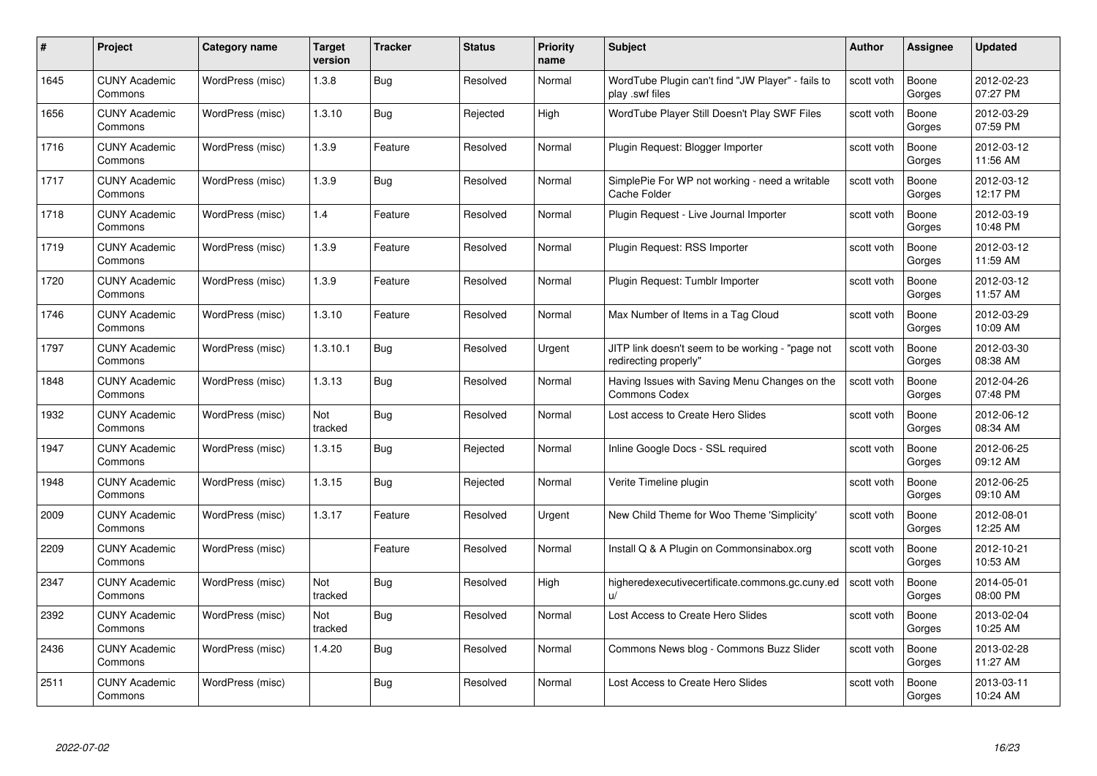| #    | Project                         | <b>Category name</b> | Target<br>version | <b>Tracker</b> | <b>Status</b> | <b>Priority</b><br>name | <b>Subject</b>                                                            | <b>Author</b> | <b>Assignee</b> | <b>Updated</b>         |
|------|---------------------------------|----------------------|-------------------|----------------|---------------|-------------------------|---------------------------------------------------------------------------|---------------|-----------------|------------------------|
| 1645 | <b>CUNY Academic</b><br>Commons | WordPress (misc)     | 1.3.8             | Bug            | Resolved      | Normal                  | WordTube Plugin can't find "JW Player" - fails to<br>play .swf files      | scott voth    | Boone<br>Gorges | 2012-02-23<br>07:27 PM |
| 1656 | <b>CUNY Academic</b><br>Commons | WordPress (misc)     | 1.3.10            | Bug            | Rejected      | High                    | WordTube Player Still Doesn't Play SWF Files                              | scott voth    | Boone<br>Gorges | 2012-03-29<br>07:59 PM |
| 1716 | <b>CUNY Academic</b><br>Commons | WordPress (misc)     | 1.3.9             | Feature        | Resolved      | Normal                  | Plugin Request: Blogger Importer                                          | scott voth    | Boone<br>Gorges | 2012-03-12<br>11:56 AM |
| 1717 | <b>CUNY Academic</b><br>Commons | WordPress (misc)     | 1.3.9             | <b>Bug</b>     | Resolved      | Normal                  | SimplePie For WP not working - need a writable<br>Cache Folder            | scott voth    | Boone<br>Gorges | 2012-03-12<br>12:17 PM |
| 1718 | CUNY Academic<br>Commons        | WordPress (misc)     | 1.4               | Feature        | Resolved      | Normal                  | Plugin Request - Live Journal Importer                                    | scott voth    | Boone<br>Gorges | 2012-03-19<br>10:48 PM |
| 1719 | <b>CUNY Academic</b><br>Commons | WordPress (misc)     | 1.3.9             | Feature        | Resolved      | Normal                  | Plugin Request: RSS Importer                                              | scott voth    | Boone<br>Gorges | 2012-03-12<br>11:59 AM |
| 1720 | <b>CUNY Academic</b><br>Commons | WordPress (misc)     | 1.3.9             | Feature        | Resolved      | Normal                  | Plugin Request: Tumblr Importer                                           | scott voth    | Boone<br>Gorges | 2012-03-12<br>11:57 AM |
| 1746 | <b>CUNY Academic</b><br>Commons | WordPress (misc)     | 1.3.10            | Feature        | Resolved      | Normal                  | Max Number of Items in a Tag Cloud                                        | scott voth    | Boone<br>Gorges | 2012-03-29<br>10:09 AM |
| 1797 | <b>CUNY Academic</b><br>Commons | WordPress (misc)     | 1.3.10.1          | <b>Bug</b>     | Resolved      | Urgent                  | JITP link doesn't seem to be working - "page not<br>redirecting properly" | scott voth    | Boone<br>Gorges | 2012-03-30<br>08:38 AM |
| 1848 | <b>CUNY Academic</b><br>Commons | WordPress (misc)     | 1.3.13            | Bug            | Resolved      | Normal                  | Having Issues with Saving Menu Changes on the<br>Commons Codex            | scott voth    | Boone<br>Gorges | 2012-04-26<br>07:48 PM |
| 1932 | CUNY Academic<br>Commons        | WordPress (misc)     | Not<br>tracked    | <b>Bug</b>     | Resolved      | Normal                  | Lost access to Create Hero Slides                                         | scott voth    | Boone<br>Gorges | 2012-06-12<br>08:34 AM |
| 1947 | <b>CUNY Academic</b><br>Commons | WordPress (misc)     | 1.3.15            | <b>Bug</b>     | Rejected      | Normal                  | Inline Google Docs - SSL required                                         | scott voth    | Boone<br>Gorges | 2012-06-25<br>09:12 AM |
| 1948 | <b>CUNY Academic</b><br>Commons | WordPress (misc)     | 1.3.15            | Bug            | Rejected      | Normal                  | Verite Timeline plugin                                                    | scott voth    | Boone<br>Gorges | 2012-06-25<br>09:10 AM |
| 2009 | <b>CUNY Academic</b><br>Commons | WordPress (misc)     | 1.3.17            | Feature        | Resolved      | Urgent                  | New Child Theme for Woo Theme 'Simplicity'                                | scott voth    | Boone<br>Gorges | 2012-08-01<br>12:25 AM |
| 2209 | <b>CUNY Academic</b><br>Commons | WordPress (misc)     |                   | Feature        | Resolved      | Normal                  | Install Q & A Plugin on Commonsinabox.org                                 | scott voth    | Boone<br>Gorges | 2012-10-21<br>10:53 AM |
| 2347 | <b>CUNY Academic</b><br>Commons | WordPress (misc)     | Not<br>tracked    | Bug            | Resolved      | High                    | higheredexecutivecertificate.commons.gc.cuny.ed<br>$\mathbf{u}$           | scott voth    | Boone<br>Gorges | 2014-05-01<br>08:00 PM |
| 2392 | <b>CUNY Academic</b><br>Commons | WordPress (misc)     | Not<br>tracked    | Bug            | Resolved      | Normal                  | Lost Access to Create Hero Slides                                         | scott voth    | Boone<br>Gorges | 2013-02-04<br>10:25 AM |
| 2436 | <b>CUNY Academic</b><br>Commons | WordPress (misc)     | 1.4.20            | <b>Bug</b>     | Resolved      | Normal                  | Commons News blog - Commons Buzz Slider                                   | scott voth    | Boone<br>Gorges | 2013-02-28<br>11:27 AM |
| 2511 | CUNY Academic<br>Commons        | WordPress (misc)     |                   | Bug            | Resolved      | Normal                  | Lost Access to Create Hero Slides                                         | scott voth    | Boone<br>Gorges | 2013-03-11<br>10:24 AM |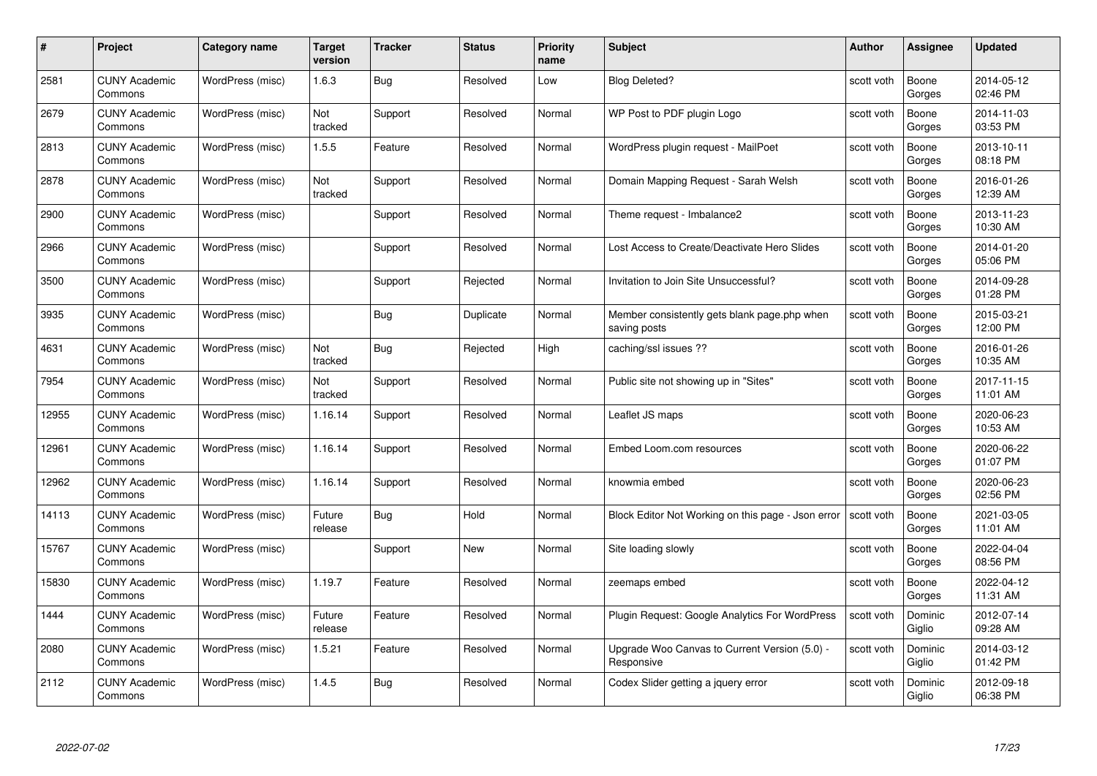| #     | Project                         | <b>Category name</b> | Target<br>version | <b>Tracker</b> | <b>Status</b> | <b>Priority</b><br>name | <b>Subject</b>                                               | <b>Author</b> | <b>Assignee</b>   | <b>Updated</b>         |
|-------|---------------------------------|----------------------|-------------------|----------------|---------------|-------------------------|--------------------------------------------------------------|---------------|-------------------|------------------------|
| 2581  | <b>CUNY Academic</b><br>Commons | WordPress (misc)     | 1.6.3             | Bug            | Resolved      | Low                     | <b>Blog Deleted?</b>                                         | scott voth    | Boone<br>Gorges   | 2014-05-12<br>02:46 PM |
| 2679  | <b>CUNY Academic</b><br>Commons | WordPress (misc)     | Not<br>tracked    | Support        | Resolved      | Normal                  | WP Post to PDF plugin Logo                                   | scott voth    | Boone<br>Gorges   | 2014-11-03<br>03:53 PM |
| 2813  | <b>CUNY Academic</b><br>Commons | WordPress (misc)     | 1.5.5             | Feature        | Resolved      | Normal                  | WordPress plugin request - MailPoet                          | scott voth    | Boone<br>Gorges   | 2013-10-11<br>08:18 PM |
| 2878  | <b>CUNY Academic</b><br>Commons | WordPress (misc)     | Not<br>tracked    | Support        | Resolved      | Normal                  | Domain Mapping Request - Sarah Welsh                         | scott voth    | Boone<br>Gorges   | 2016-01-26<br>12:39 AM |
| 2900  | CUNY Academic<br>Commons        | WordPress (misc)     |                   | Support        | Resolved      | Normal                  | Theme request - Imbalance2                                   | scott voth    | Boone<br>Gorges   | 2013-11-23<br>10:30 AM |
| 2966  | <b>CUNY Academic</b><br>Commons | WordPress (misc)     |                   | Support        | Resolved      | Normal                  | Lost Access to Create/Deactivate Hero Slides                 | scott voth    | Boone<br>Gorges   | 2014-01-20<br>05:06 PM |
| 3500  | <b>CUNY Academic</b><br>Commons | WordPress (misc)     |                   | Support        | Rejected      | Normal                  | Invitation to Join Site Unsuccessful?                        | scott voth    | Boone<br>Gorges   | 2014-09-28<br>01:28 PM |
| 3935  | <b>CUNY Academic</b><br>Commons | WordPress (misc)     |                   | <b>Bug</b>     | Duplicate     | Normal                  | Member consistently gets blank page.php when<br>saving posts | scott voth    | Boone<br>Gorges   | 2015-03-21<br>12:00 PM |
| 4631  | <b>CUNY Academic</b><br>Commons | WordPress (misc)     | Not<br>tracked    | <b>Bug</b>     | Rejected      | High                    | caching/ssl issues ??                                        | scott voth    | Boone<br>Gorges   | 2016-01-26<br>10:35 AM |
| 7954  | <b>CUNY Academic</b><br>Commons | WordPress (misc)     | Not<br>tracked    | Support        | Resolved      | Normal                  | Public site not showing up in "Sites"                        | scott voth    | Boone<br>Gorges   | 2017-11-15<br>11:01 AM |
| 12955 | CUNY Academic<br>Commons        | WordPress (misc)     | 1.16.14           | Support        | Resolved      | Normal                  | Leaflet JS maps                                              | scott voth    | Boone<br>Gorges   | 2020-06-23<br>10:53 AM |
| 12961 | <b>CUNY Academic</b><br>Commons | WordPress (misc)     | 1.16.14           | Support        | Resolved      | Normal                  | Embed Loom.com resources                                     | scott voth    | Boone<br>Gorges   | 2020-06-22<br>01:07 PM |
| 12962 | <b>CUNY Academic</b><br>Commons | WordPress (misc)     | 1.16.14           | Support        | Resolved      | Normal                  | knowmia embed                                                | scott voth    | Boone<br>Gorges   | 2020-06-23<br>02:56 PM |
| 14113 | <b>CUNY Academic</b><br>Commons | WordPress (misc)     | Future<br>release | <b>Bug</b>     | Hold          | Normal                  | Block Editor Not Working on this page - Json error           | scott voth    | Boone<br>Gorges   | 2021-03-05<br>11:01 AM |
| 15767 | <b>CUNY Academic</b><br>Commons | WordPress (misc)     |                   | Support        | New           | Normal                  | Site loading slowly                                          | scott voth    | Boone<br>Gorges   | 2022-04-04<br>08:56 PM |
| 15830 | <b>CUNY Academic</b><br>Commons | WordPress (misc)     | 1.19.7            | Feature        | Resolved      | Normal                  | zeemaps embed                                                | scott voth    | Boone<br>Gorges   | 2022-04-12<br>11:31 AM |
| 1444  | <b>CUNY Academic</b><br>Commons | WordPress (misc)     | Future<br>release | Feature        | Resolved      | Normal                  | Plugin Request: Google Analytics For WordPress               | scott voth    | Dominic<br>Giglio | 2012-07-14<br>09:28 AM |
| 2080  | <b>CUNY Academic</b><br>Commons | WordPress (misc)     | 1.5.21            | Feature        | Resolved      | Normal                  | Upgrade Woo Canvas to Current Version (5.0) -<br>Responsive  | scott voth    | Dominic<br>Giglio | 2014-03-12<br>01:42 PM |
| 2112  | CUNY Academic<br>Commons        | WordPress (misc)     | 1.4.5             | Bug            | Resolved      | Normal                  | Codex Slider getting a jquery error                          | scott voth    | Dominic<br>Giglio | 2012-09-18<br>06:38 PM |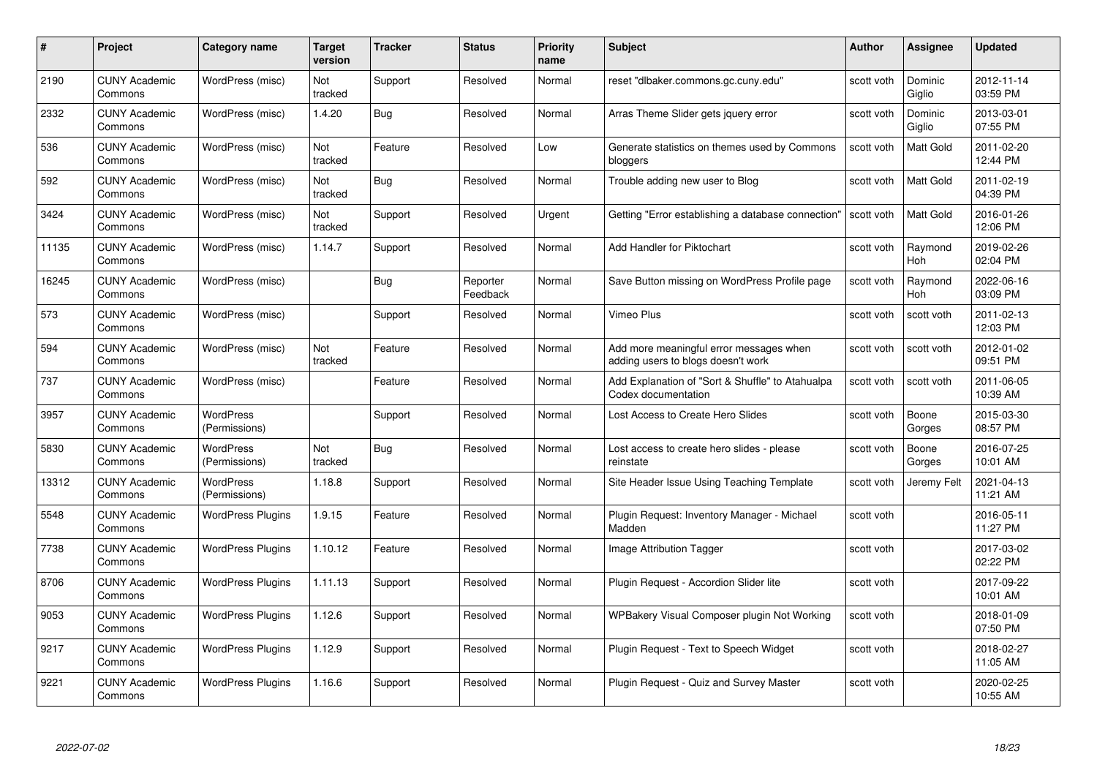| #     | Project                         | <b>Category name</b>              | Target<br>version     | <b>Tracker</b> | <b>Status</b>        | <b>Priority</b><br>name | <b>Subject</b>                                                                | <b>Author</b> | <b>Assignee</b>   | <b>Updated</b>         |
|-------|---------------------------------|-----------------------------------|-----------------------|----------------|----------------------|-------------------------|-------------------------------------------------------------------------------|---------------|-------------------|------------------------|
| 2190  | <b>CUNY Academic</b><br>Commons | WordPress (misc)                  | Not<br>tracked        | Support        | Resolved             | Normal                  | reset "dlbaker.commons.gc.cuny.edu"                                           | scott voth    | Dominic<br>Giglio | 2012-11-14<br>03:59 PM |
| 2332  | <b>CUNY Academic</b><br>Commons | WordPress (misc)                  | 1.4.20                | Bug            | Resolved             | Normal                  | Arras Theme Slider gets jquery error                                          | scott voth    | Dominic<br>Giglio | 2013-03-01<br>07:55 PM |
| 536   | <b>CUNY Academic</b><br>Commons | WordPress (misc)                  | <b>Not</b><br>tracked | Feature        | Resolved             | Low                     | Generate statistics on themes used by Commons<br>bloggers                     | scott voth    | Matt Gold         | 2011-02-20<br>12:44 PM |
| 592   | <b>CUNY Academic</b><br>Commons | WordPress (misc)                  | Not<br>tracked        | <b>Bug</b>     | Resolved             | Normal                  | Trouble adding new user to Blog                                               | scott voth    | <b>Matt Gold</b>  | 2011-02-19<br>04:39 PM |
| 3424  | CUNY Academic<br>Commons        | WordPress (misc)                  | Not<br>tracked        | Support        | Resolved             | Urgent                  | Getting "Error establishing a database connection"                            | scott voth    | Matt Gold         | 2016-01-26<br>12:06 PM |
| 11135 | <b>CUNY Academic</b><br>Commons | WordPress (misc)                  | 1.14.7                | Support        | Resolved             | Normal                  | Add Handler for Piktochart                                                    | scott voth    | Raymond<br>Hoh    | 2019-02-26<br>02:04 PM |
| 16245 | <b>CUNY Academic</b><br>Commons | WordPress (misc)                  |                       | Bug            | Reporter<br>Feedback | Normal                  | Save Button missing on WordPress Profile page                                 | scott voth    | Raymond<br>Hoh    | 2022-06-16<br>03:09 PM |
| 573   | <b>CUNY Academic</b><br>Commons | WordPress (misc)                  |                       | Support        | Resolved             | Normal                  | Vimeo Plus                                                                    | scott voth    | scott voth        | 2011-02-13<br>12:03 PM |
| 594   | <b>CUNY Academic</b><br>Commons | WordPress (misc)                  | Not<br>tracked        | Feature        | Resolved             | Normal                  | Add more meaningful error messages when<br>adding users to blogs doesn't work | scott voth    | scott voth        | 2012-01-02<br>09:51 PM |
| 737   | <b>CUNY Academic</b><br>Commons | WordPress (misc)                  |                       | Feature        | Resolved             | Normal                  | Add Explanation of "Sort & Shuffle" to Atahualpa<br>Codex documentation       | scott voth    | scott voth        | 2011-06-05<br>10:39 AM |
| 3957  | CUNY Academic<br>Commons        | WordPress<br>(Permissions)        |                       | Support        | Resolved             | Normal                  | Lost Access to Create Hero Slides                                             | scott voth    | Boone<br>Gorges   | 2015-03-30<br>08:57 PM |
| 5830  | <b>CUNY Academic</b><br>Commons | <b>WordPress</b><br>(Permissions) | Not<br>tracked        | <b>Bug</b>     | Resolved             | Normal                  | Lost access to create hero slides - please<br>reinstate                       | scott voth    | Boone<br>Gorges   | 2016-07-25<br>10:01 AM |
| 13312 | <b>CUNY Academic</b><br>Commons | <b>WordPress</b><br>(Permissions) | 1.18.8                | Support        | Resolved             | Normal                  | Site Header Issue Using Teaching Template                                     | scott voth    | Jeremy Felt       | 2021-04-13<br>11:21 AM |
| 5548  | <b>CUNY Academic</b><br>Commons | <b>WordPress Plugins</b>          | 1.9.15                | Feature        | Resolved             | Normal                  | Plugin Request: Inventory Manager - Michael<br>Madden                         | scott voth    |                   | 2016-05-11<br>11:27 PM |
| 7738  | <b>CUNY Academic</b><br>Commons | <b>WordPress Plugins</b>          | 1.10.12               | Feature        | Resolved             | Normal                  | Image Attribution Tagger                                                      | scott voth    |                   | 2017-03-02<br>02:22 PM |
| 8706  | <b>CUNY Academic</b><br>Commons | <b>WordPress Plugins</b>          | 1.11.13               | Support        | Resolved             | Normal                  | Plugin Request - Accordion Slider lite                                        | scott voth    |                   | 2017-09-22<br>10:01 AM |
| 9053  | <b>CUNY Academic</b><br>Commons | <b>WordPress Plugins</b>          | 1.12.6                | Support        | Resolved             | Normal                  | WPBakery Visual Composer plugin Not Working                                   | scott voth    |                   | 2018-01-09<br>07:50 PM |
| 9217  | <b>CUNY Academic</b><br>Commons | <b>WordPress Plugins</b>          | 1.12.9                | Support        | Resolved             | Normal                  | Plugin Request - Text to Speech Widget                                        | scott voth    |                   | 2018-02-27<br>11:05 AM |
| 9221  | CUNY Academic<br>Commons        | <b>WordPress Plugins</b>          | 1.16.6                | Support        | Resolved             | Normal                  | Plugin Request - Quiz and Survey Master                                       | scott voth    |                   | 2020-02-25<br>10:55 AM |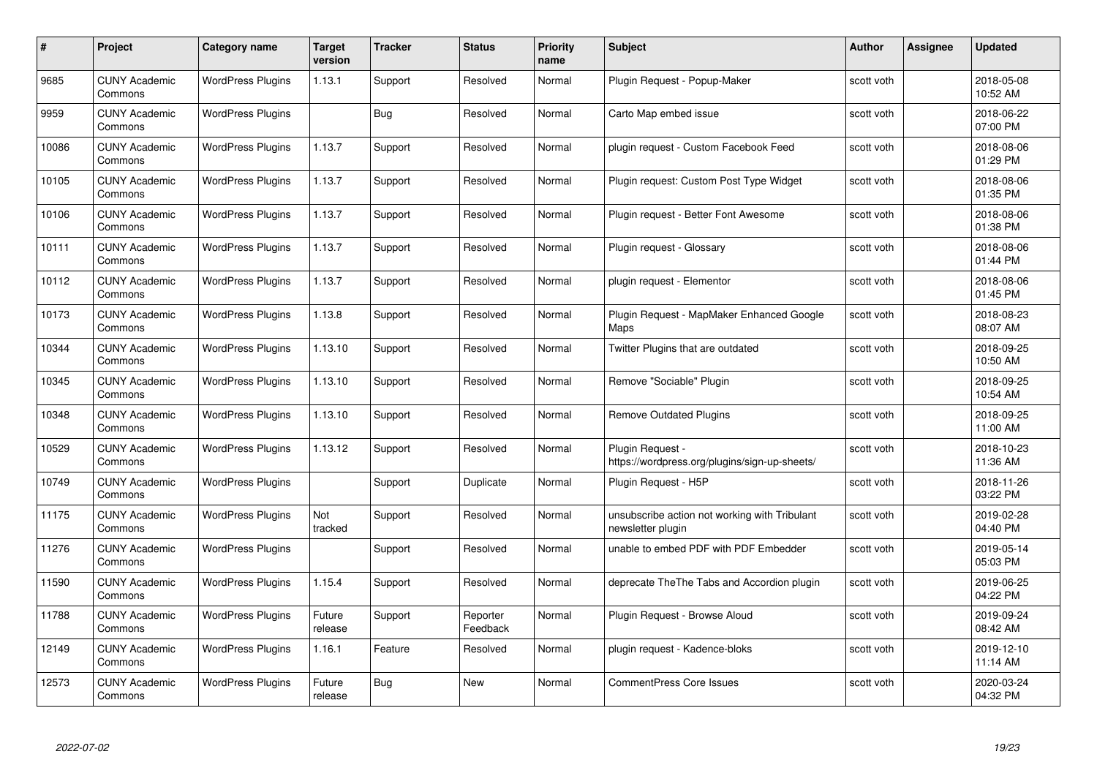| #     | Project                         | <b>Category name</b>     | Target<br>version | <b>Tracker</b> | <b>Status</b>        | <b>Priority</b><br>name | <b>Subject</b>                                                     | <b>Author</b> | <b>Assignee</b> | <b>Updated</b>         |
|-------|---------------------------------|--------------------------|-------------------|----------------|----------------------|-------------------------|--------------------------------------------------------------------|---------------|-----------------|------------------------|
| 9685  | <b>CUNY Academic</b><br>Commons | <b>WordPress Plugins</b> | 1.13.1            | Support        | Resolved             | Normal                  | Plugin Request - Popup-Maker                                       | scott voth    |                 | 2018-05-08<br>10:52 AM |
| 9959  | <b>CUNY Academic</b><br>Commons | <b>WordPress Plugins</b> |                   | <b>Bug</b>     | Resolved             | Normal                  | Carto Map embed issue                                              | scott voth    |                 | 2018-06-22<br>07:00 PM |
| 10086 | <b>CUNY Academic</b><br>Commons | <b>WordPress Plugins</b> | 1.13.7            | Support        | Resolved             | Normal                  | plugin request - Custom Facebook Feed                              | scott voth    |                 | 2018-08-06<br>01:29 PM |
| 10105 | <b>CUNY Academic</b><br>Commons | <b>WordPress Plugins</b> | 1.13.7            | Support        | Resolved             | Normal                  | Plugin request: Custom Post Type Widget                            | scott voth    |                 | 2018-08-06<br>01:35 PM |
| 10106 | <b>CUNY Academic</b><br>Commons | <b>WordPress Plugins</b> | 1.13.7            | Support        | Resolved             | Normal                  | Plugin reguest - Better Font Awesome                               | scott voth    |                 | 2018-08-06<br>01:38 PM |
| 10111 | <b>CUNY Academic</b><br>Commons | <b>WordPress Plugins</b> | 1.13.7            | Support        | Resolved             | Normal                  | Plugin request - Glossary                                          | scott voth    |                 | 2018-08-06<br>01:44 PM |
| 10112 | <b>CUNY Academic</b><br>Commons | <b>WordPress Plugins</b> | 1.13.7            | Support        | Resolved             | Normal                  | plugin request - Elementor                                         | scott voth    |                 | 2018-08-06<br>01:45 PM |
| 10173 | <b>CUNY Academic</b><br>Commons | <b>WordPress Plugins</b> | 1.13.8            | Support        | Resolved             | Normal                  | Plugin Request - MapMaker Enhanced Google<br>Maps                  | scott voth    |                 | 2018-08-23<br>08:07 AM |
| 10344 | <b>CUNY Academic</b><br>Commons | <b>WordPress Plugins</b> | 1.13.10           | Support        | Resolved             | Normal                  | Twitter Plugins that are outdated                                  | scott voth    |                 | 2018-09-25<br>10:50 AM |
| 10345 | <b>CUNY Academic</b><br>Commons | <b>WordPress Plugins</b> | 1.13.10           | Support        | Resolved             | Normal                  | Remove "Sociable" Plugin                                           | scott voth    |                 | 2018-09-25<br>10:54 AM |
| 10348 | <b>CUNY Academic</b><br>Commons | <b>WordPress Plugins</b> | 1.13.10           | Support        | Resolved             | Normal                  | Remove Outdated Plugins                                            | scott voth    |                 | 2018-09-25<br>11:00 AM |
| 10529 | <b>CUNY Academic</b><br>Commons | <b>WordPress Plugins</b> | 1.13.12           | Support        | Resolved             | Normal                  | Plugin Request -<br>https://wordpress.org/plugins/sign-up-sheets/  | scott voth    |                 | 2018-10-23<br>11:36 AM |
| 10749 | <b>CUNY Academic</b><br>Commons | <b>WordPress Plugins</b> |                   | Support        | Duplicate            | Normal                  | Plugin Request - H5P                                               | scott voth    |                 | 2018-11-26<br>03:22 PM |
| 11175 | <b>CUNY Academic</b><br>Commons | <b>WordPress Plugins</b> | Not<br>tracked    | Support        | Resolved             | Normal                  | unsubscribe action not working with Tribulant<br>newsletter plugin | scott voth    |                 | 2019-02-28<br>04:40 PM |
| 11276 | <b>CUNY Academic</b><br>Commons | <b>WordPress Plugins</b> |                   | Support        | Resolved             | Normal                  | unable to embed PDF with PDF Embedder                              | scott voth    |                 | 2019-05-14<br>05:03 PM |
| 11590 | <b>CUNY Academic</b><br>Commons | <b>WordPress Plugins</b> | 1.15.4            | Support        | Resolved             | Normal                  | deprecate The The Tabs and Accordion plugin                        | scott voth    |                 | 2019-06-25<br>04:22 PM |
| 11788 | <b>CUNY Academic</b><br>Commons | <b>WordPress Plugins</b> | Future<br>release | Support        | Reporter<br>Feedback | Normal                  | Plugin Request - Browse Aloud                                      | scott voth    |                 | 2019-09-24<br>08:42 AM |
| 12149 | <b>CUNY Academic</b><br>Commons | <b>WordPress Plugins</b> | 1.16.1            | Feature        | Resolved             | Normal                  | plugin request - Kadence-bloks                                     | scott voth    |                 | 2019-12-10<br>11:14 AM |
| 12573 | <b>CUNY Academic</b><br>Commons | <b>WordPress Plugins</b> | Future<br>release | Bug            | <b>New</b>           | Normal                  | <b>CommentPress Core Issues</b>                                    | scott voth    |                 | 2020-03-24<br>04:32 PM |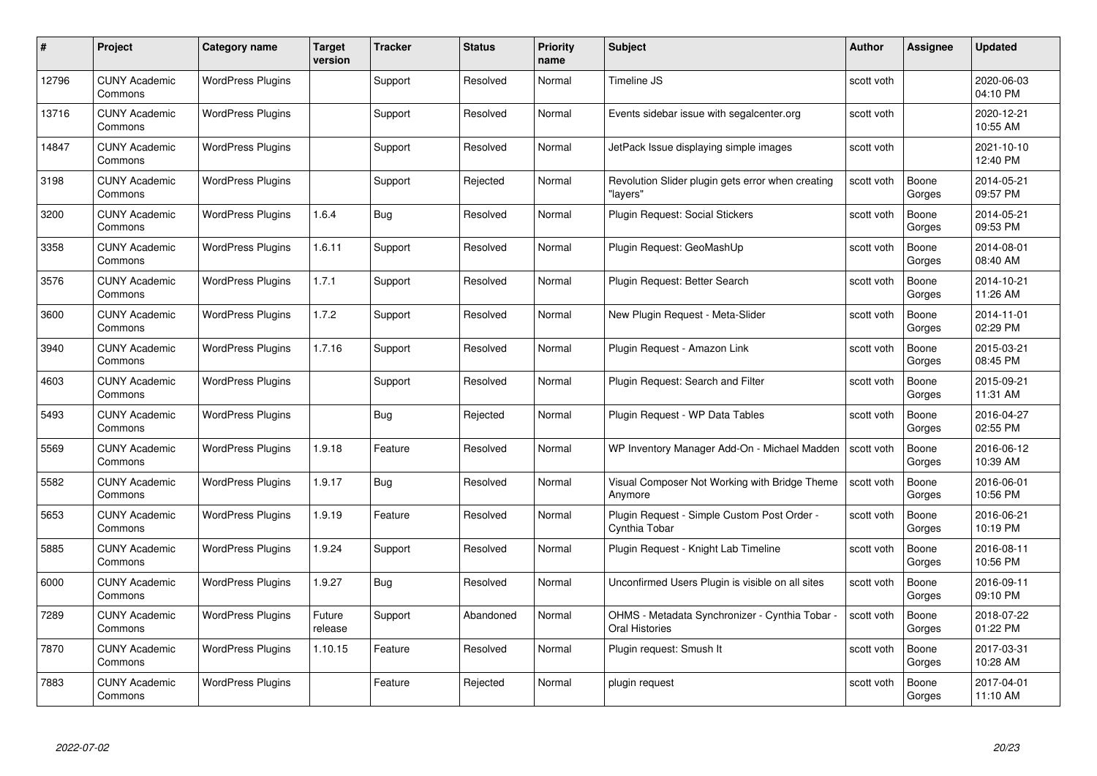| #     | Project                         | Category name            | Target<br>version | <b>Tracker</b> | <b>Status</b> | <b>Priority</b><br>name | <b>Subject</b>                                                        | <b>Author</b> | <b>Assignee</b> | <b>Updated</b>         |
|-------|---------------------------------|--------------------------|-------------------|----------------|---------------|-------------------------|-----------------------------------------------------------------------|---------------|-----------------|------------------------|
| 12796 | <b>CUNY Academic</b><br>Commons | <b>WordPress Plugins</b> |                   | Support        | Resolved      | Normal                  | Timeline JS                                                           | scott voth    |                 | 2020-06-03<br>04:10 PM |
| 13716 | <b>CUNY Academic</b><br>Commons | <b>WordPress Plugins</b> |                   | Support        | Resolved      | Normal                  | Events sidebar issue with segalcenter.org                             | scott voth    |                 | 2020-12-21<br>10:55 AM |
| 14847 | <b>CUNY Academic</b><br>Commons | <b>WordPress Plugins</b> |                   | Support        | Resolved      | Normal                  | JetPack Issue displaying simple images                                | scott voth    |                 | 2021-10-10<br>12:40 PM |
| 3198  | <b>CUNY Academic</b><br>Commons | <b>WordPress Plugins</b> |                   | Support        | Rejected      | Normal                  | Revolution Slider plugin gets error when creating<br>'lavers"         | scott voth    | Boone<br>Gorges | 2014-05-21<br>09:57 PM |
| 3200  | <b>CUNY Academic</b><br>Commons | <b>WordPress Plugins</b> | 1.6.4             | <b>Bug</b>     | Resolved      | Normal                  | Plugin Request: Social Stickers                                       | scott voth    | Boone<br>Gorges | 2014-05-21<br>09:53 PM |
| 3358  | <b>CUNY Academic</b><br>Commons | <b>WordPress Plugins</b> | 1.6.11            | Support        | Resolved      | Normal                  | Plugin Request: GeoMashUp                                             | scott voth    | Boone<br>Gorges | 2014-08-01<br>08:40 AM |
| 3576  | <b>CUNY Academic</b><br>Commons | <b>WordPress Plugins</b> | 1.7.1             | Support        | Resolved      | Normal                  | Plugin Request: Better Search                                         | scott voth    | Boone<br>Gorges | 2014-10-21<br>11:26 AM |
| 3600  | <b>CUNY Academic</b><br>Commons | <b>WordPress Plugins</b> | 1.7.2             | Support        | Resolved      | Normal                  | New Plugin Request - Meta-Slider                                      | scott voth    | Boone<br>Gorges | 2014-11-01<br>02:29 PM |
| 3940  | <b>CUNY Academic</b><br>Commons | <b>WordPress Plugins</b> | 1.7.16            | Support        | Resolved      | Normal                  | Plugin Request - Amazon Link                                          | scott voth    | Boone<br>Gorges | 2015-03-21<br>08:45 PM |
| 4603  | <b>CUNY Academic</b><br>Commons | <b>WordPress Plugins</b> |                   | Support        | Resolved      | Normal                  | Plugin Request: Search and Filter                                     | scott voth    | Boone<br>Gorges | 2015-09-21<br>11:31 AM |
| 5493  | <b>CUNY Academic</b><br>Commons | <b>WordPress Plugins</b> |                   | Bug            | Rejected      | Normal                  | Plugin Request - WP Data Tables                                       | scott voth    | Boone<br>Gorges | 2016-04-27<br>02:55 PM |
| 5569  | CUNY Academic<br>Commons        | <b>WordPress Plugins</b> | 1.9.18            | Feature        | Resolved      | Normal                  | WP Inventory Manager Add-On - Michael Madden                          | scott voth    | Boone<br>Gorges | 2016-06-12<br>10:39 AM |
| 5582  | <b>CUNY Academic</b><br>Commons | <b>WordPress Plugins</b> | 1.9.17            | Bug            | Resolved      | Normal                  | Visual Composer Not Working with Bridge Theme<br>Anymore              | scott voth    | Boone<br>Gorges | 2016-06-01<br>10:56 PM |
| 5653  | <b>CUNY Academic</b><br>Commons | <b>WordPress Plugins</b> | 1.9.19            | Feature        | Resolved      | Normal                  | Plugin Request - Simple Custom Post Order -<br>Cynthia Tobar          | scott voth    | Boone<br>Gorges | 2016-06-21<br>10:19 PM |
| 5885  | <b>CUNY Academic</b><br>Commons | <b>WordPress Plugins</b> | 1.9.24            | Support        | Resolved      | Normal                  | Plugin Request - Knight Lab Timeline                                  | scott voth    | Boone<br>Gorges | 2016-08-11<br>10:56 PM |
| 6000  | <b>CUNY Academic</b><br>Commons | <b>WordPress Plugins</b> | 1.9.27            | Bug            | Resolved      | Normal                  | Unconfirmed Users Plugin is visible on all sites                      | scott voth    | Boone<br>Gorges | 2016-09-11<br>09:10 PM |
| 7289  | <b>CUNY Academic</b><br>Commons | <b>WordPress Plugins</b> | Future<br>release | Support        | Abandoned     | Normal                  | OHMS - Metadata Synchronizer - Cynthia Tobar<br><b>Oral Histories</b> | scott voth    | Boone<br>Gorges | 2018-07-22<br>01:22 PM |
| 7870  | <b>CUNY Academic</b><br>Commons | <b>WordPress Plugins</b> | 1.10.15           | Feature        | Resolved      | Normal                  | Plugin request: Smush It                                              | scott voth    | Boone<br>Gorges | 2017-03-31<br>10:28 AM |
| 7883  | CUNY Academic<br>Commons        | <b>WordPress Plugins</b> |                   | Feature        | Rejected      | Normal                  | plugin request                                                        | scott voth    | Boone<br>Gorges | 2017-04-01<br>11:10 AM |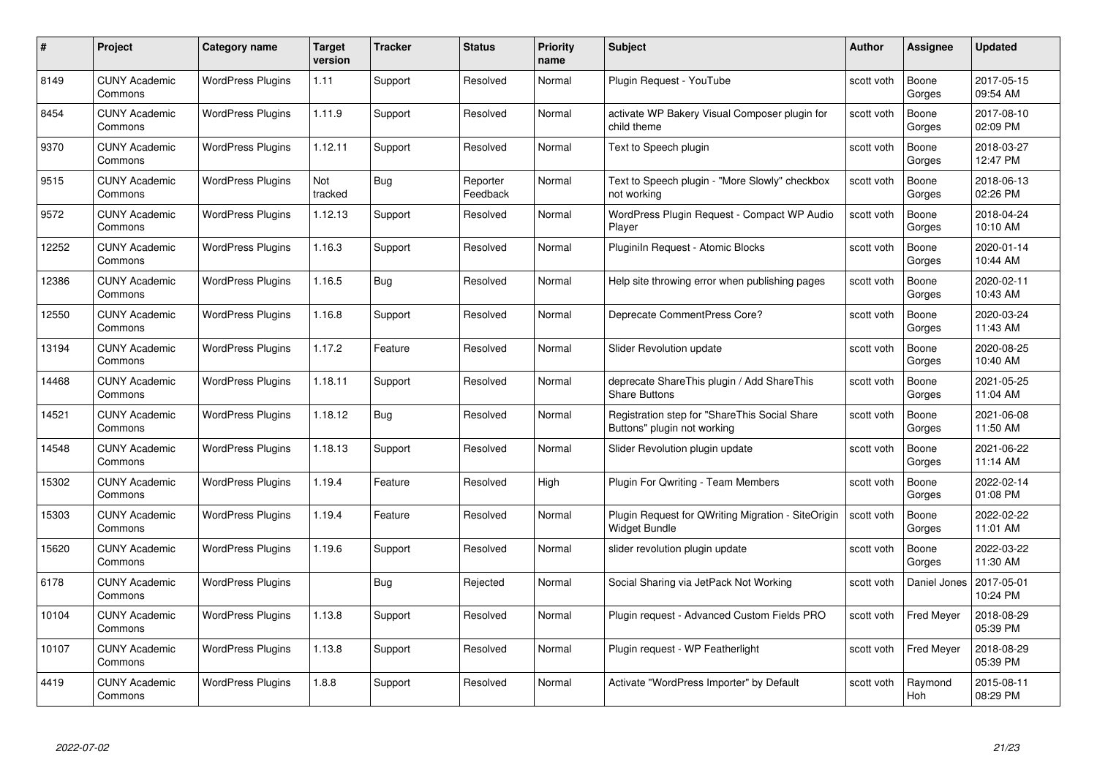| #     | Project                         | <b>Category name</b>     | Target<br>version | <b>Tracker</b> | <b>Status</b>        | <b>Priority</b><br>name | <b>Subject</b>                                                               | <b>Author</b> | <b>Assignee</b>   | <b>Updated</b>         |
|-------|---------------------------------|--------------------------|-------------------|----------------|----------------------|-------------------------|------------------------------------------------------------------------------|---------------|-------------------|------------------------|
| 8149  | <b>CUNY Academic</b><br>Commons | <b>WordPress Plugins</b> | 1.11              | Support        | Resolved             | Normal                  | Plugin Request - YouTube                                                     | scott voth    | Boone<br>Gorges   | 2017-05-15<br>09:54 AM |
| 8454  | <b>CUNY Academic</b><br>Commons | <b>WordPress Plugins</b> | 1.11.9            | Support        | Resolved             | Normal                  | activate WP Bakery Visual Composer plugin for<br>child theme                 | scott voth    | Boone<br>Gorges   | 2017-08-10<br>02:09 PM |
| 9370  | <b>CUNY Academic</b><br>Commons | <b>WordPress Plugins</b> | 1.12.11           | Support        | Resolved             | Normal                  | Text to Speech plugin                                                        | scott voth    | Boone<br>Gorges   | 2018-03-27<br>12:47 PM |
| 9515  | <b>CUNY Academic</b><br>Commons | <b>WordPress Plugins</b> | Not<br>tracked    | Bug            | Reporter<br>Feedback | Normal                  | Text to Speech plugin - "More Slowly" checkbox<br>not working                | scott voth    | Boone<br>Gorges   | 2018-06-13<br>02:26 PM |
| 9572  | CUNY Academic<br>Commons        | <b>WordPress Plugins</b> | 1.12.13           | Support        | Resolved             | Normal                  | WordPress Plugin Request - Compact WP Audio<br>Player                        | scott voth    | Boone<br>Gorges   | 2018-04-24<br>10:10 AM |
| 12252 | <b>CUNY Academic</b><br>Commons | <b>WordPress Plugins</b> | 1.16.3            | Support        | Resolved             | Normal                  | Pluginiln Request - Atomic Blocks                                            | scott voth    | Boone<br>Gorges   | 2020-01-14<br>10:44 AM |
| 12386 | <b>CUNY Academic</b><br>Commons | <b>WordPress Plugins</b> | 1.16.5            | Bug            | Resolved             | Normal                  | Help site throwing error when publishing pages                               | scott voth    | Boone<br>Gorges   | 2020-02-11<br>10:43 AM |
| 12550 | <b>CUNY Academic</b><br>Commons | <b>WordPress Plugins</b> | 1.16.8            | Support        | Resolved             | Normal                  | Deprecate CommentPress Core?                                                 | scott voth    | Boone<br>Gorges   | 2020-03-24<br>11:43 AM |
| 13194 | <b>CUNY Academic</b><br>Commons | <b>WordPress Plugins</b> | 1.17.2            | Feature        | Resolved             | Normal                  | Slider Revolution update                                                     | scott voth    | Boone<br>Gorges   | 2020-08-25<br>10:40 AM |
| 14468 | <b>CUNY Academic</b><br>Commons | <b>WordPress Plugins</b> | 1.18.11           | Support        | Resolved             | Normal                  | deprecate ShareThis plugin / Add ShareThis<br><b>Share Buttons</b>           | scott voth    | Boone<br>Gorges   | 2021-05-25<br>11:04 AM |
| 14521 | CUNY Academic<br>Commons        | <b>WordPress Plugins</b> | 1.18.12           | Bug            | Resolved             | Normal                  | Registration step for "ShareThis Social Share<br>Buttons" plugin not working | scott voth    | Boone<br>Gorges   | 2021-06-08<br>11:50 AM |
| 14548 | <b>CUNY Academic</b><br>Commons | <b>WordPress Plugins</b> | 1.18.13           | Support        | Resolved             | Normal                  | Slider Revolution plugin update                                              | scott voth    | Boone<br>Gorges   | 2021-06-22<br>11:14 AM |
| 15302 | <b>CUNY Academic</b><br>Commons | <b>WordPress Plugins</b> | 1.19.4            | Feature        | Resolved             | High                    | Plugin For Qwriting - Team Members                                           | scott voth    | Boone<br>Gorges   | 2022-02-14<br>01:08 PM |
| 15303 | <b>CUNY Academic</b><br>Commons | <b>WordPress Plugins</b> | 1.19.4            | Feature        | Resolved             | Normal                  | Plugin Request for QWriting Migration - SiteOrigin<br>Widget Bundle          | scott voth    | Boone<br>Gorges   | 2022-02-22<br>11:01 AM |
| 15620 | <b>CUNY Academic</b><br>Commons | <b>WordPress Plugins</b> | 1.19.6            | Support        | Resolved             | Normal                  | slider revolution plugin update                                              | scott voth    | Boone<br>Gorges   | 2022-03-22<br>11:30 AM |
| 6178  | <b>CUNY Academic</b><br>Commons | <b>WordPress Plugins</b> |                   | Bug            | Rejected             | Normal                  | Social Sharing via JetPack Not Working                                       | scott voth    | Daniel Jones      | 2017-05-01<br>10:24 PM |
| 10104 | <b>CUNY Academic</b><br>Commons | <b>WordPress Plugins</b> | 1.13.8            | Support        | Resolved             | Normal                  | Plugin request - Advanced Custom Fields PRO                                  | scott voth    | <b>Fred Meyer</b> | 2018-08-29<br>05:39 PM |
| 10107 | <b>CUNY Academic</b><br>Commons | <b>WordPress Plugins</b> | 1.13.8            | Support        | Resolved             | Normal                  | Plugin request - WP Featherlight                                             | scott voth    | <b>Fred Meyer</b> | 2018-08-29<br>05:39 PM |
| 4419  | <b>CUNY Academic</b><br>Commons | <b>WordPress Plugins</b> | 1.8.8             | Support        | Resolved             | Normal                  | Activate "WordPress Importer" by Default                                     | scott voth    | Raymond<br>Hoh    | 2015-08-11<br>08:29 PM |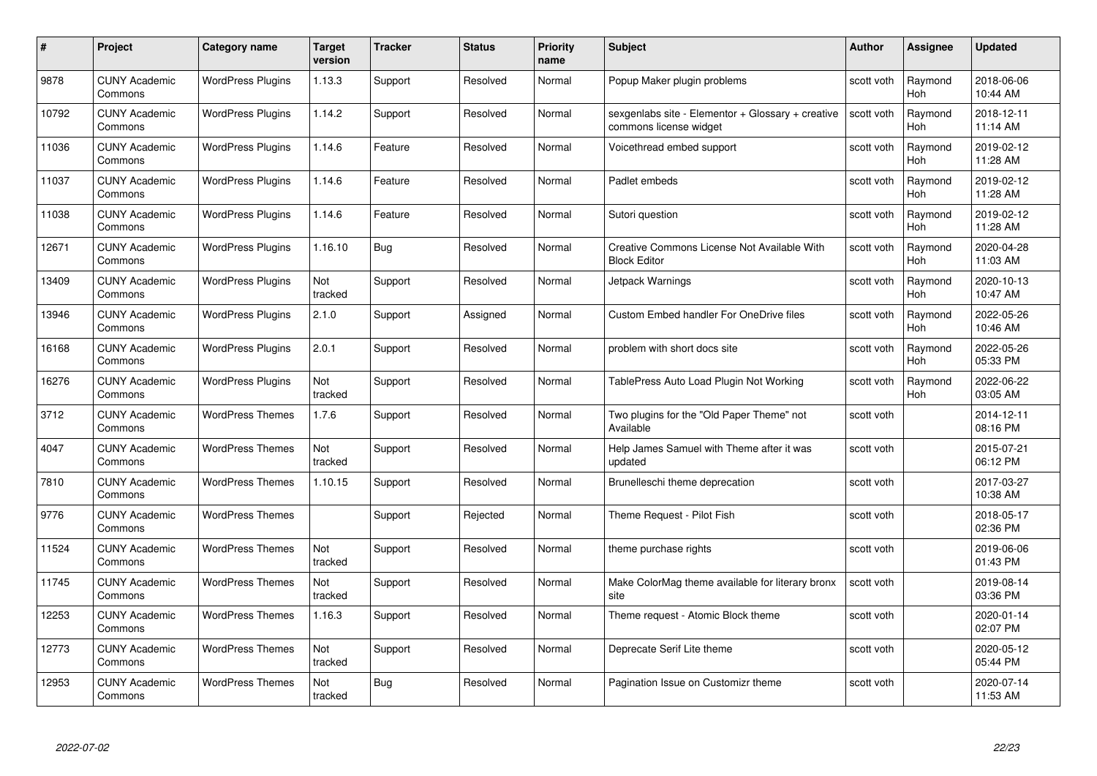| #     | Project                         | <b>Category name</b>     | Target<br>version | <b>Tracker</b> | <b>Status</b> | <b>Priority</b><br>name | <b>Subject</b>                                                              | <b>Author</b> | <b>Assignee</b>       | <b>Updated</b>         |
|-------|---------------------------------|--------------------------|-------------------|----------------|---------------|-------------------------|-----------------------------------------------------------------------------|---------------|-----------------------|------------------------|
| 9878  | <b>CUNY Academic</b><br>Commons | <b>WordPress Plugins</b> | 1.13.3            | Support        | Resolved      | Normal                  | Popup Maker plugin problems                                                 | scott voth    | Raymond<br>Hoh        | 2018-06-06<br>10:44 AM |
| 10792 | <b>CUNY Academic</b><br>Commons | <b>WordPress Plugins</b> | 1.14.2            | Support        | Resolved      | Normal                  | sexgenlabs site - Elementor + Glossary + creative<br>commons license widget | scott voth    | Raymond<br><b>Hoh</b> | 2018-12-11<br>11:14 AM |
| 11036 | <b>CUNY Academic</b><br>Commons | <b>WordPress Plugins</b> | 1.14.6            | Feature        | Resolved      | Normal                  | Voicethread embed support                                                   | scott voth    | Raymond<br>Hoh        | 2019-02-12<br>11:28 AM |
| 11037 | <b>CUNY Academic</b><br>Commons | <b>WordPress Plugins</b> | 1.14.6            | Feature        | Resolved      | Normal                  | Padlet embeds                                                               | scott voth    | Raymond<br>Hoh        | 2019-02-12<br>11:28 AM |
| 11038 | <b>CUNY Academic</b><br>Commons | <b>WordPress Plugins</b> | 1.14.6            | Feature        | Resolved      | Normal                  | Sutori question                                                             | scott voth    | Raymond<br>Hoh        | 2019-02-12<br>11:28 AM |
| 12671 | <b>CUNY Academic</b><br>Commons | <b>WordPress Plugins</b> | 1.16.10           | Bug            | Resolved      | Normal                  | Creative Commons License Not Available With<br><b>Block Editor</b>          | scott voth    | Raymond<br>Hoh        | 2020-04-28<br>11:03 AM |
| 13409 | <b>CUNY Academic</b><br>Commons | <b>WordPress Plugins</b> | Not<br>tracked    | Support        | Resolved      | Normal                  | Jetpack Warnings                                                            | scott voth    | Raymond<br>Hoh        | 2020-10-13<br>10:47 AM |
| 13946 | <b>CUNY Academic</b><br>Commons | <b>WordPress Plugins</b> | 2.1.0             | Support        | Assigned      | Normal                  | <b>Custom Embed handler For OneDrive files</b>                              | scott voth    | Raymond<br><b>Hoh</b> | 2022-05-26<br>10:46 AM |
| 16168 | <b>CUNY Academic</b><br>Commons | <b>WordPress Plugins</b> | 2.0.1             | Support        | Resolved      | Normal                  | problem with short docs site                                                | scott voth    | Raymond<br>Hoh        | 2022-05-26<br>05:33 PM |
| 16276 | <b>CUNY Academic</b><br>Commons | <b>WordPress Plugins</b> | Not<br>tracked    | Support        | Resolved      | Normal                  | TablePress Auto Load Plugin Not Working                                     | scott voth    | Raymond<br>Hoh        | 2022-06-22<br>03:05 AM |
| 3712  | CUNY Academic<br>Commons        | <b>WordPress Themes</b>  | 1.7.6             | Support        | Resolved      | Normal                  | Two plugins for the "Old Paper Theme" not<br>Available                      | scott voth    |                       | 2014-12-11<br>08:16 PM |
| 4047  | <b>CUNY Academic</b><br>Commons | <b>WordPress Themes</b>  | Not<br>tracked    | Support        | Resolved      | Normal                  | Help James Samuel with Theme after it was<br>updated                        | scott voth    |                       | 2015-07-21<br>06:12 PM |
| 7810  | <b>CUNY Academic</b><br>Commons | <b>WordPress Themes</b>  | 1.10.15           | Support        | Resolved      | Normal                  | Brunelleschi theme deprecation                                              | scott voth    |                       | 2017-03-27<br>10:38 AM |
| 9776  | <b>CUNY Academic</b><br>Commons | <b>WordPress Themes</b>  |                   | Support        | Rejected      | Normal                  | Theme Request - Pilot Fish                                                  | scott voth    |                       | 2018-05-17<br>02:36 PM |
| 11524 | <b>CUNY Academic</b><br>Commons | <b>WordPress Themes</b>  | Not<br>tracked    | Support        | Resolved      | Normal                  | theme purchase rights                                                       | scott voth    |                       | 2019-06-06<br>01:43 PM |
| 11745 | <b>CUNY Academic</b><br>Commons | <b>WordPress Themes</b>  | Not<br>tracked    | Support        | Resolved      | Normal                  | Make ColorMag theme available for literary bronx<br>site                    | scott voth    |                       | 2019-08-14<br>03:36 PM |
| 12253 | <b>CUNY Academic</b><br>Commons | <b>WordPress Themes</b>  | 1.16.3            | Support        | Resolved      | Normal                  | Theme request - Atomic Block theme                                          | scott voth    |                       | 2020-01-14<br>02:07 PM |
| 12773 | <b>CUNY Academic</b><br>Commons | <b>WordPress Themes</b>  | Not<br>tracked    | Support        | Resolved      | Normal                  | Deprecate Serif Lite theme                                                  | scott voth    |                       | 2020-05-12<br>05:44 PM |
| 12953 | CUNY Academic<br>Commons        | <b>WordPress Themes</b>  | Not<br>tracked    | Bug            | Resolved      | Normal                  | Pagination Issue on Customizr theme                                         | scott voth    |                       | 2020-07-14<br>11:53 AM |